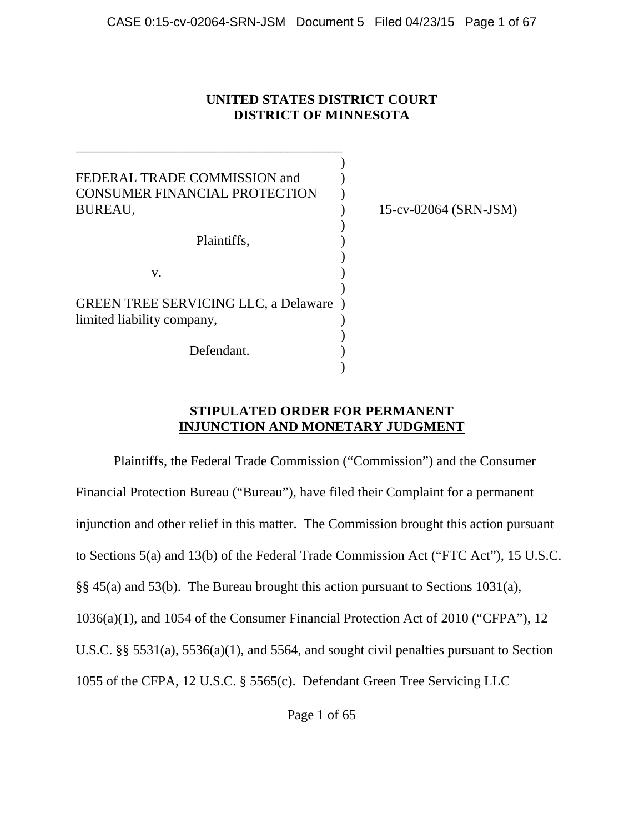# **UNITED STATES DISTRICT COURT DISTRICT OF MINNESOTA**

)

)

)

)

)

FEDERAL TRADE COMMISSION and  $\qquad$ ) CONSUMER FINANCIAL PROTECTION ) BUREAU, ) 15-cv-02064 (SRN-JSM)

\_\_\_\_\_\_\_\_\_\_\_\_\_\_\_\_\_\_\_\_\_\_\_\_\_\_\_\_\_\_\_\_\_\_\_\_\_\_\_

Plaintiffs, )

 $\mathbf{v}$ .

GREEN TREE SERVICING LLC, a Delaware ) limited liability company,

Defendant.

)

# **STIPULATED ORDER FOR PERMANENT INJUNCTION AND MONETARY JUDGMENT**

Plaintiffs, the Federal Trade Commission ("Commission") and the Consumer Financial Protection Bureau ("Bureau"), have filed their Complaint for a permanent injunction and other relief in this matter. The Commission brought this action pursuant to Sections 5(a) and 13(b) of the Federal Trade Commission Act ("FTC Act"), 15 U.S.C. §§ 45(a) and 53(b). The Bureau brought this action pursuant to Sections 1031(a), 1036(a)(1), and 1054 of the Consumer Financial Protection Act of 2010 ("CFPA"), 12 U.S.C. §§ 5531(a), 5536(a)(1), and 5564, and sought civil penalties pursuant to Section 1055 of the CFPA, 12 U.S.C. § 5565(c). Defendant Green Tree Servicing LLC

Page 1 of 65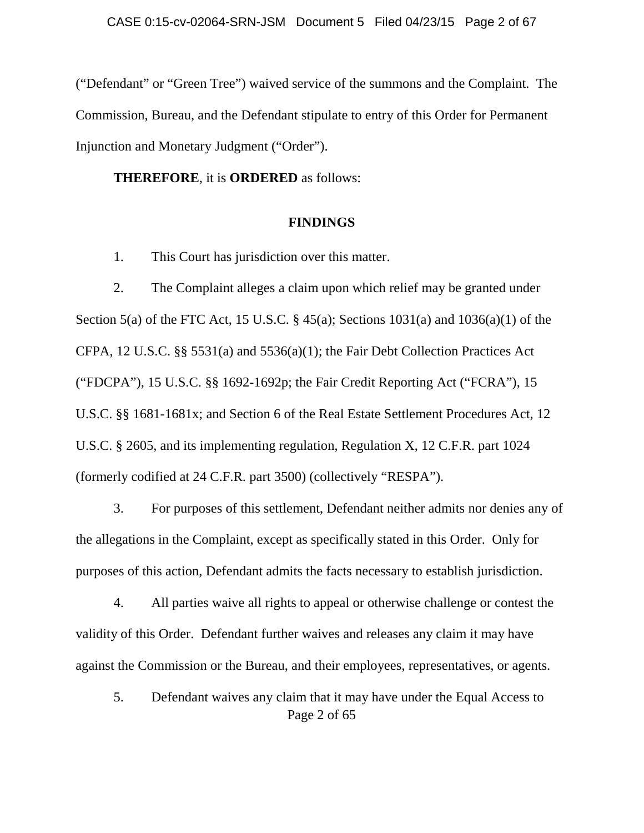("Defendant" or "Green Tree") waived service of the summons and the Complaint. The Commission, Bureau, and the Defendant stipulate to entry of this Order for Permanent Injunction and Monetary Judgment ("Order").

**THEREFORE**, it is **ORDERED** as follows:

### **FINDINGS**

1. This Court has jurisdiction over this matter.

2. The Complaint alleges a claim upon which relief may be granted under Section 5(a) of the FTC Act, 15 U.S.C. § 45(a); Sections 1031(a) and 1036(a)(1) of the CFPA, 12 U.S.C. §§ 5531(a) and 5536(a)(1); the Fair Debt Collection Practices Act ("FDCPA"), 15 U.S.C. §§ 1692-1692p; the Fair Credit Reporting Act ("FCRA"), 15 U.S.C. §§ 1681-1681x; and Section 6 of the Real Estate Settlement Procedures Act, 12 U.S.C. § 2605, and its implementing regulation, Regulation X, 12 C.F.R. part 1024 (formerly codified at 24 C.F.R. part 3500) (collectively "RESPA").

3. For purposes of this settlement, Defendant neither admits nor denies any of the allegations in the Complaint, except as specifically stated in this Order. Only for purposes of this action, Defendant admits the facts necessary to establish jurisdiction.

4. All parties waive all rights to appeal or otherwise challenge or contest the validity of this Order. Defendant further waives and releases any claim it may have against the Commission or the Bureau, and their employees, representatives, or agents.

Page 2 of 65 5. Defendant waives any claim that it may have under the Equal Access to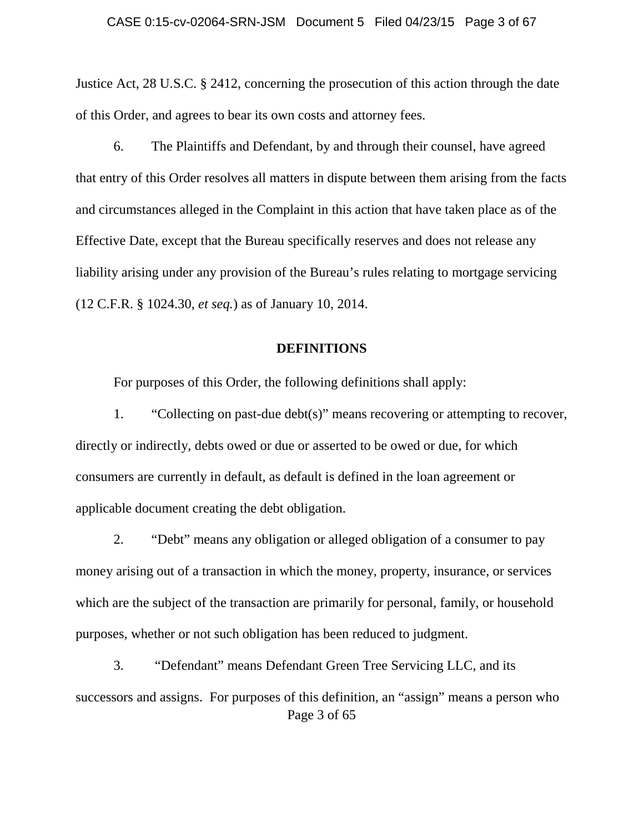Justice Act, 28 U.S.C. § 2412, concerning the prosecution of this action through the date of this Order, and agrees to bear its own costs and attorney fees.

6. The Plaintiffs and Defendant, by and through their counsel, have agreed that entry of this Order resolves all matters in dispute between them arising from the facts and circumstances alleged in the Complaint in this action that have taken place as of the Effective Date, except that the Bureau specifically reserves and does not release any liability arising under any provision of the Bureau's rules relating to mortgage servicing (12 C.F.R. § 1024.30, *et seq.*) as of January 10, 2014.

### **DEFINITIONS**

For purposes of this Order, the following definitions shall apply:

1. "Collecting on past-due debt(s)" means recovering or attempting to recover, directly or indirectly, debts owed or due or asserted to be owed or due, for which consumers are currently in default, as default is defined in the loan agreement or applicable document creating the debt obligation.

2. "Debt" means any obligation or alleged obligation of a consumer to pay money arising out of a transaction in which the money, property, insurance, or services which are the subject of the transaction are primarily for personal, family, or household purposes, whether or not such obligation has been reduced to judgment.

Page 3 of 65 3. "Defendant" means Defendant Green Tree Servicing LLC, and its successors and assigns. For purposes of this definition, an "assign" means a person who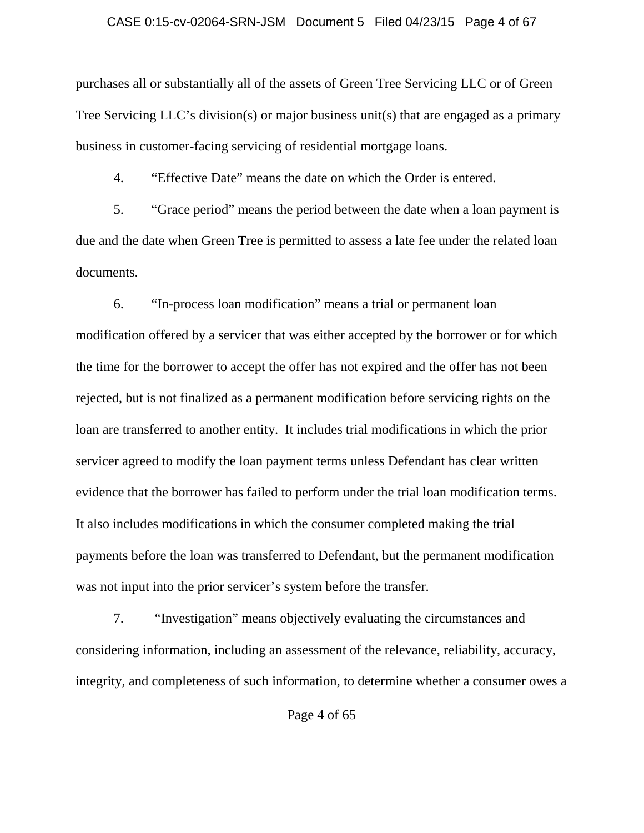#### CASE 0:15-cv-02064-SRN-JSM Document 5 Filed 04/23/15 Page 4 of 67

purchases all or substantially all of the assets of Green Tree Servicing LLC or of Green Tree Servicing LLC's division(s) or major business unit(s) that are engaged as a primary business in customer-facing servicing of residential mortgage loans.

4. "Effective Date" means the date on which the Order is entered.

5. "Grace period" means the period between the date when a loan payment is due and the date when Green Tree is permitted to assess a late fee under the related loan documents.

6. "In-process loan modification" means a trial or permanent loan modification offered by a servicer that was either accepted by the borrower or for which the time for the borrower to accept the offer has not expired and the offer has not been rejected, but is not finalized as a permanent modification before servicing rights on the loan are transferred to another entity. It includes trial modifications in which the prior servicer agreed to modify the loan payment terms unless Defendant has clear written evidence that the borrower has failed to perform under the trial loan modification terms. It also includes modifications in which the consumer completed making the trial payments before the loan was transferred to Defendant, but the permanent modification was not input into the prior servicer's system before the transfer.

7. "Investigation" means objectively evaluating the circumstances and considering information, including an assessment of the relevance, reliability, accuracy, integrity, and completeness of such information, to determine whether a consumer owes a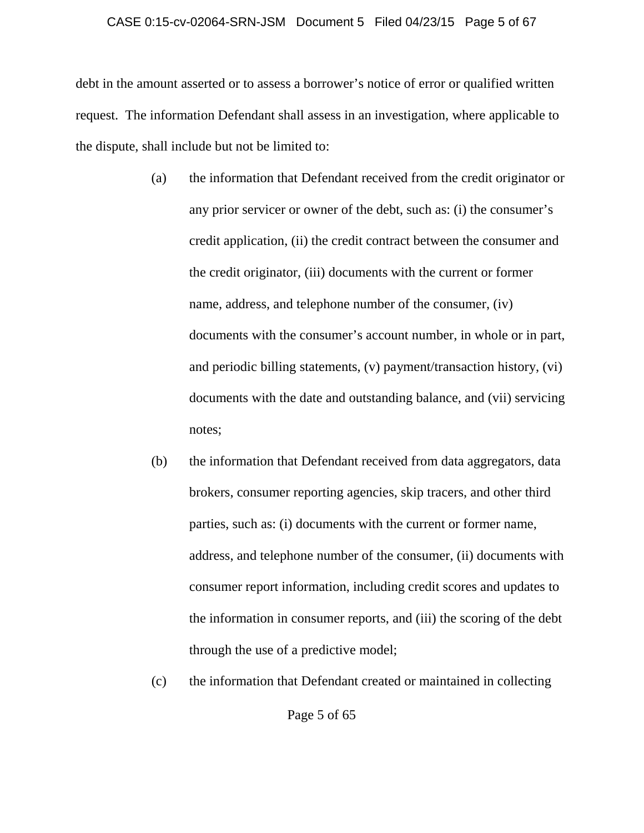### CASE 0:15-cv-02064-SRN-JSM Document 5 Filed 04/23/15 Page 5 of 67

debt in the amount asserted or to assess a borrower's notice of error or qualified written request. The information Defendant shall assess in an investigation, where applicable to the dispute, shall include but not be limited to:

- (a) the information that Defendant received from the credit originator or any prior servicer or owner of the debt, such as: (i) the consumer's credit application, (ii) the credit contract between the consumer and the credit originator, (iii) documents with the current or former name, address, and telephone number of the consumer, (iv) documents with the consumer's account number, in whole or in part, and periodic billing statements, (v) payment/transaction history, (vi) documents with the date and outstanding balance, and (vii) servicing notes;
- (b) the information that Defendant received from data aggregators, data brokers, consumer reporting agencies, skip tracers, and other third parties, such as: (i) documents with the current or former name, address, and telephone number of the consumer, (ii) documents with consumer report information, including credit scores and updates to the information in consumer reports, and (iii) the scoring of the debt through the use of a predictive model;
- (c) the information that Defendant created or maintained in collecting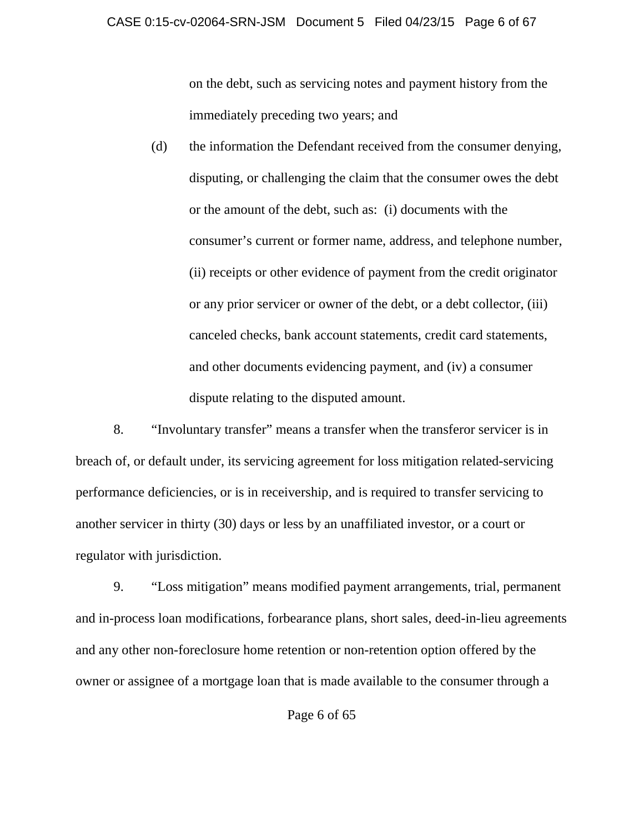on the debt, such as servicing notes and payment history from the immediately preceding two years; and

(d) the information the Defendant received from the consumer denying, disputing, or challenging the claim that the consumer owes the debt or the amount of the debt, such as: (i) documents with the consumer's current or former name, address, and telephone number, (ii) receipts or other evidence of payment from the credit originator or any prior servicer or owner of the debt, or a debt collector, (iii) canceled checks, bank account statements, credit card statements, and other documents evidencing payment, and (iv) a consumer dispute relating to the disputed amount.

8. "Involuntary transfer" means a transfer when the transferor servicer is in breach of, or default under, its servicing agreement for loss mitigation related-servicing performance deficiencies, or is in receivership, and is required to transfer servicing to another servicer in thirty (30) days or less by an unaffiliated investor, or a court or regulator with jurisdiction.

9. "Loss mitigation" means modified payment arrangements, trial, permanent and in-process loan modifications, forbearance plans, short sales, deed-in-lieu agreements and any other non-foreclosure home retention or non-retention option offered by the owner or assignee of a mortgage loan that is made available to the consumer through a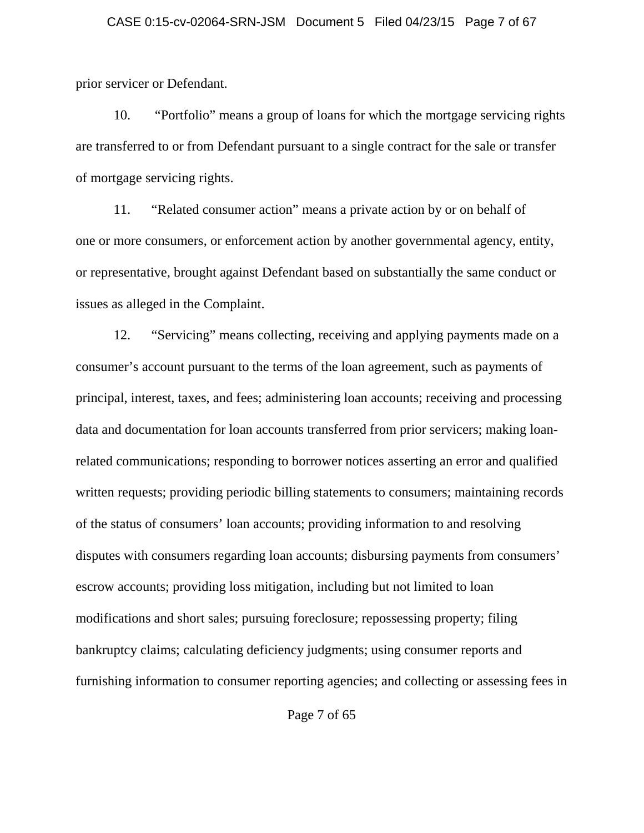prior servicer or Defendant.

10. "Portfolio" means a group of loans for which the mortgage servicing rights are transferred to or from Defendant pursuant to a single contract for the sale or transfer of mortgage servicing rights.

11. "Related consumer action" means a private action by or on behalf of one or more consumers, or enforcement action by another governmental agency, entity, or representative, brought against Defendant based on substantially the same conduct or issues as alleged in the Complaint.

12. "Servicing" means collecting, receiving and applying payments made on a consumer's account pursuant to the terms of the loan agreement, such as payments of principal, interest, taxes, and fees; administering loan accounts; receiving and processing data and documentation for loan accounts transferred from prior servicers; making loanrelated communications; responding to borrower notices asserting an error and qualified written requests; providing periodic billing statements to consumers; maintaining records of the status of consumers' loan accounts; providing information to and resolving disputes with consumers regarding loan accounts; disbursing payments from consumers' escrow accounts; providing loss mitigation, including but not limited to loan modifications and short sales; pursuing foreclosure; repossessing property; filing bankruptcy claims; calculating deficiency judgments; using consumer reports and furnishing information to consumer reporting agencies; and collecting or assessing fees in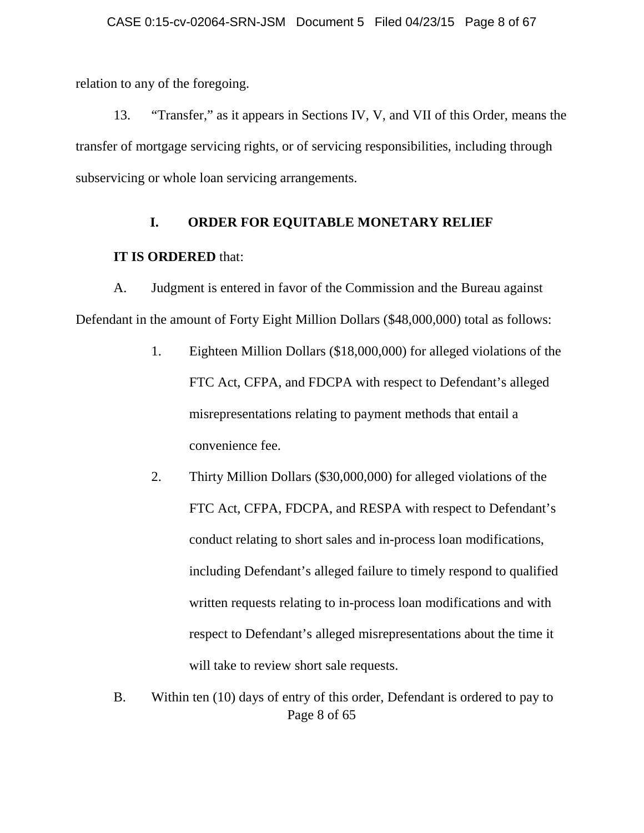relation to any of the foregoing.

13. "Transfer," as it appears in Sections IV, V, and VII of this Order, means the transfer of mortgage servicing rights, or of servicing responsibilities, including through subservicing or whole loan servicing arrangements.

### **I. ORDER FOR EQUITABLE MONETARY RELIEF**

### **IT IS ORDERED** that:

A. Judgment is entered in favor of the Commission and the Bureau against Defendant in the amount of Forty Eight Million Dollars (\$48,000,000) total as follows:

- 1. Eighteen Million Dollars (\$18,000,000) for alleged violations of the FTC Act, CFPA, and FDCPA with respect to Defendant's alleged misrepresentations relating to payment methods that entail a convenience fee.
- 2. Thirty Million Dollars (\$30,000,000) for alleged violations of the FTC Act, CFPA, FDCPA, and RESPA with respect to Defendant's conduct relating to short sales and in-process loan modifications, including Defendant's alleged failure to timely respond to qualified written requests relating to in-process loan modifications and with respect to Defendant's alleged misrepresentations about the time it will take to review short sale requests.
- Page 8 of 65 B. Within ten (10) days of entry of this order, Defendant is ordered to pay to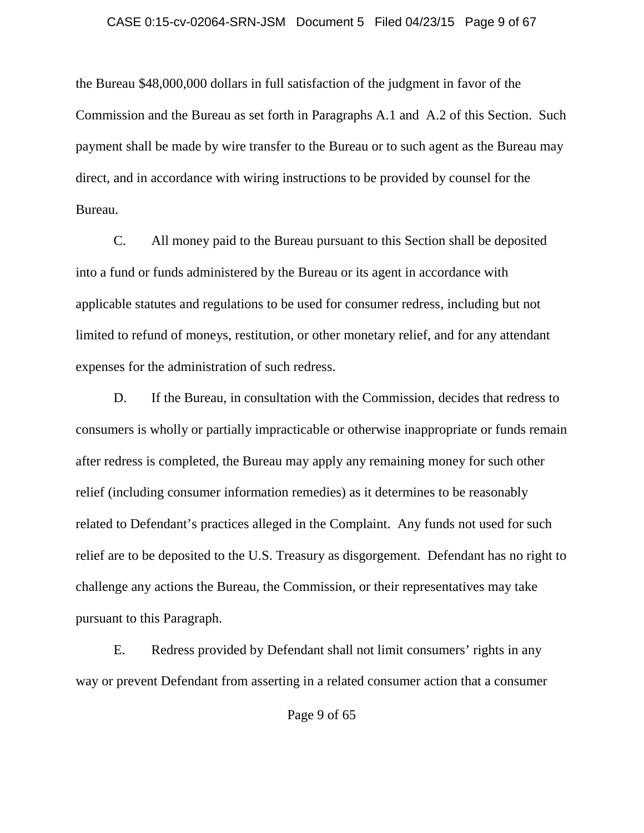#### CASE 0:15-cv-02064-SRN-JSM Document 5 Filed 04/23/15 Page 9 of 67

the Bureau \$48,000,000 dollars in full satisfaction of the judgment in favor of the Commission and the Bureau as set forth in Paragraphs A.1 and A.2 of this Section. Such payment shall be made by wire transfer to the Bureau or to such agent as the Bureau may direct, and in accordance with wiring instructions to be provided by counsel for the Bureau.

C. All money paid to the Bureau pursuant to this Section shall be deposited into a fund or funds administered by the Bureau or its agent in accordance with applicable statutes and regulations to be used for consumer redress, including but not limited to refund of moneys, restitution, or other monetary relief, and for any attendant expenses for the administration of such redress.

D. If the Bureau, in consultation with the Commission, decides that redress to consumers is wholly or partially impracticable or otherwise inappropriate or funds remain after redress is completed, the Bureau may apply any remaining money for such other relief (including consumer information remedies) as it determines to be reasonably related to Defendant's practices alleged in the Complaint. Any funds not used for such relief are to be deposited to the U.S. Treasury as disgorgement. Defendant has no right to challenge any actions the Bureau, the Commission, or their representatives may take pursuant to this Paragraph.

E. Redress provided by Defendant shall not limit consumers' rights in any way or prevent Defendant from asserting in a related consumer action that a consumer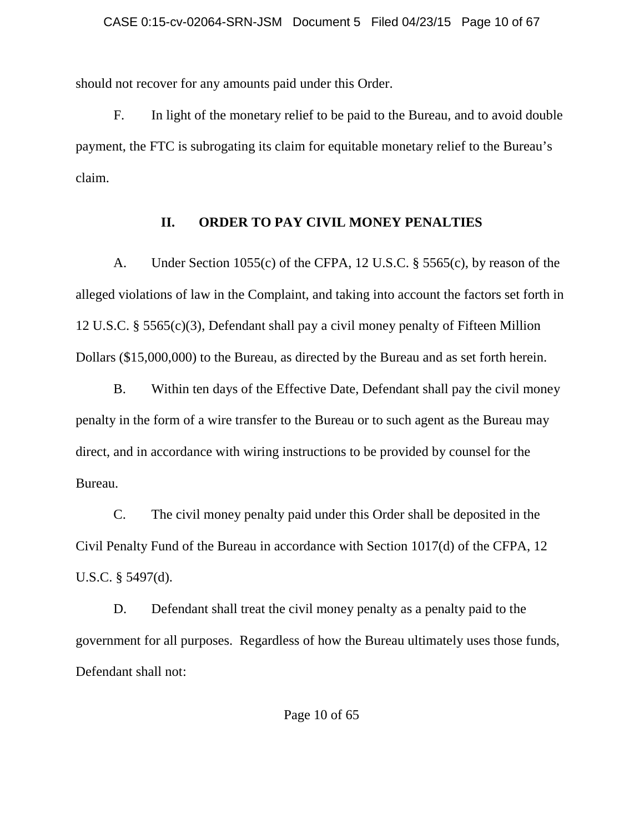should not recover for any amounts paid under this Order.

F. In light of the monetary relief to be paid to the Bureau, and to avoid double payment, the FTC is subrogating its claim for equitable monetary relief to the Bureau's claim.

## **II. ORDER TO PAY CIVIL MONEY PENALTIES**

A. Under Section 1055(c) of the CFPA, 12 U.S.C. § 5565(c), by reason of the alleged violations of law in the Complaint, and taking into account the factors set forth in 12 U.S.C. § 5565(c)(3), Defendant shall pay a civil money penalty of Fifteen Million Dollars (\$15,000,000) to the Bureau, as directed by the Bureau and as set forth herein.

B. Within ten days of the Effective Date, Defendant shall pay the civil money penalty in the form of a wire transfer to the Bureau or to such agent as the Bureau may direct, and in accordance with wiring instructions to be provided by counsel for the Bureau.

C. The civil money penalty paid under this Order shall be deposited in the Civil Penalty Fund of the Bureau in accordance with Section 1017(d) of the CFPA, 12 U.S.C. § 5497(d).

D. Defendant shall treat the civil money penalty as a penalty paid to the government for all purposes. Regardless of how the Bureau ultimately uses those funds, Defendant shall not: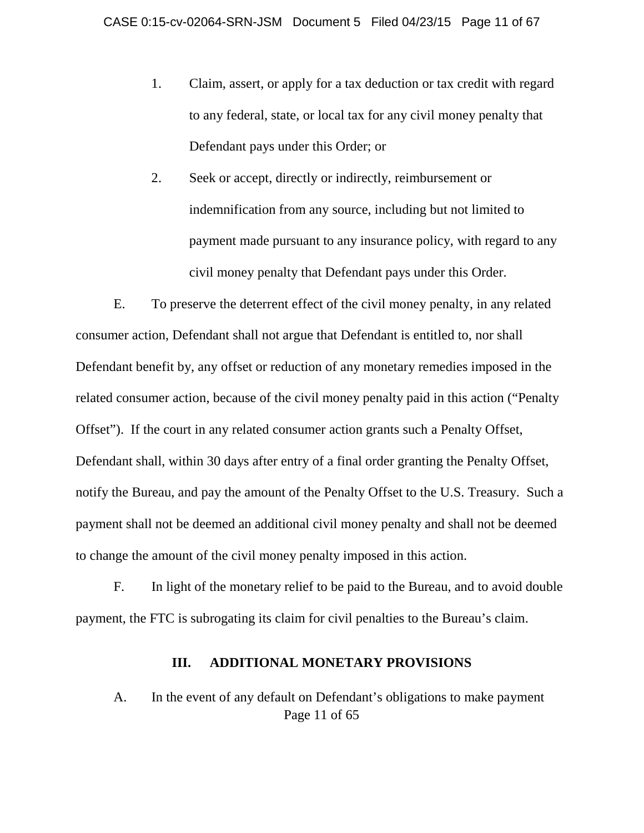- 1. Claim, assert, or apply for a tax deduction or tax credit with regard to any federal, state, or local tax for any civil money penalty that Defendant pays under this Order; or
- 2. Seek or accept, directly or indirectly, reimbursement or indemnification from any source, including but not limited to payment made pursuant to any insurance policy, with regard to any civil money penalty that Defendant pays under this Order.

E. To preserve the deterrent effect of the civil money penalty, in any related consumer action, Defendant shall not argue that Defendant is entitled to, nor shall Defendant benefit by, any offset or reduction of any monetary remedies imposed in the related consumer action, because of the civil money penalty paid in this action ("Penalty Offset"). If the court in any related consumer action grants such a Penalty Offset, Defendant shall, within 30 days after entry of a final order granting the Penalty Offset, notify the Bureau, and pay the amount of the Penalty Offset to the U.S. Treasury. Such a payment shall not be deemed an additional civil money penalty and shall not be deemed to change the amount of the civil money penalty imposed in this action.

F. In light of the monetary relief to be paid to the Bureau, and to avoid double payment, the FTC is subrogating its claim for civil penalties to the Bureau's claim.

### **III. ADDITIONAL MONETARY PROVISIONS**

# Page 11 of 65 A. In the event of any default on Defendant's obligations to make payment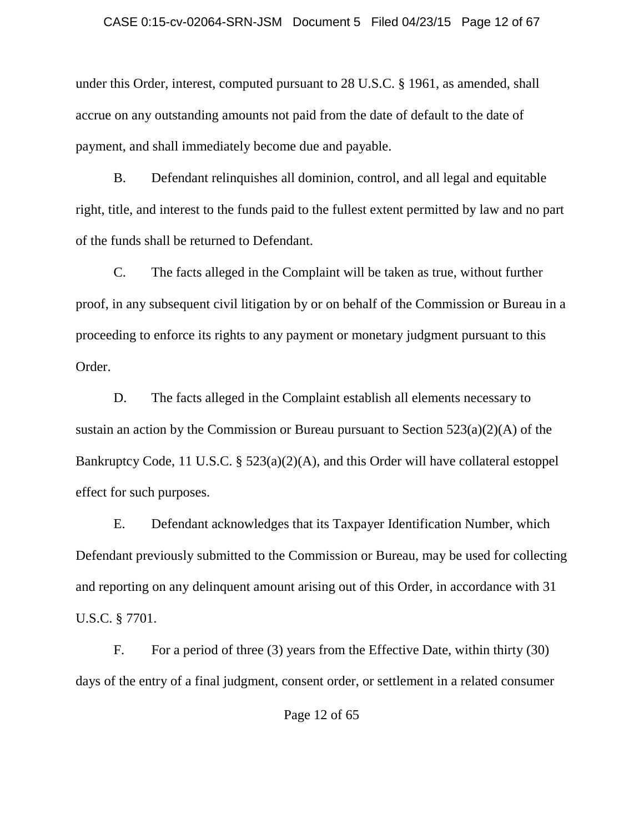#### CASE 0:15-cv-02064-SRN-JSM Document 5 Filed 04/23/15 Page 12 of 67

under this Order, interest, computed pursuant to 28 U.S.C. § 1961, as amended, shall accrue on any outstanding amounts not paid from the date of default to the date of payment, and shall immediately become due and payable.

B. Defendant relinquishes all dominion, control, and all legal and equitable right, title, and interest to the funds paid to the fullest extent permitted by law and no part of the funds shall be returned to Defendant.

C. The facts alleged in the Complaint will be taken as true, without further proof, in any subsequent civil litigation by or on behalf of the Commission or Bureau in a proceeding to enforce its rights to any payment or monetary judgment pursuant to this Order.

D. The facts alleged in the Complaint establish all elements necessary to sustain an action by the Commission or Bureau pursuant to Section 523(a)(2)(A) of the Bankruptcy Code, 11 U.S.C. § 523(a)(2)(A), and this Order will have collateral estoppel effect for such purposes.

E. Defendant acknowledges that its Taxpayer Identification Number, which Defendant previously submitted to the Commission or Bureau, may be used for collecting and reporting on any delinquent amount arising out of this Order, in accordance with 31 U.S.C. § 7701.

F. For a period of three (3) years from the Effective Date, within thirty (30) days of the entry of a final judgment, consent order, or settlement in a related consumer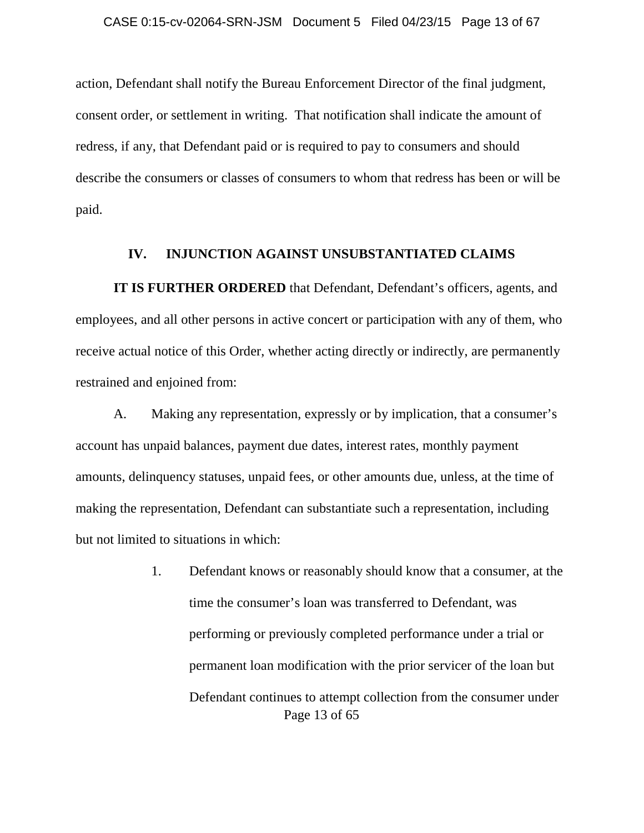action, Defendant shall notify the Bureau Enforcement Director of the final judgment, consent order, or settlement in writing. That notification shall indicate the amount of redress, if any, that Defendant paid or is required to pay to consumers and should describe the consumers or classes of consumers to whom that redress has been or will be paid.

### **IV. INJUNCTION AGAINST UNSUBSTANTIATED CLAIMS**

**IT IS FURTHER ORDERED** that Defendant, Defendant's officers, agents, and employees, and all other persons in active concert or participation with any of them, who receive actual notice of this Order, whether acting directly or indirectly, are permanently restrained and enjoined from:

A. Making any representation, expressly or by implication, that a consumer's account has unpaid balances, payment due dates, interest rates, monthly payment amounts, delinquency statuses, unpaid fees, or other amounts due, unless, at the time of making the representation, Defendant can substantiate such a representation, including but not limited to situations in which:

> Page 13 of 65 1. Defendant knows or reasonably should know that a consumer, at the time the consumer's loan was transferred to Defendant, was performing or previously completed performance under a trial or permanent loan modification with the prior servicer of the loan but Defendant continues to attempt collection from the consumer under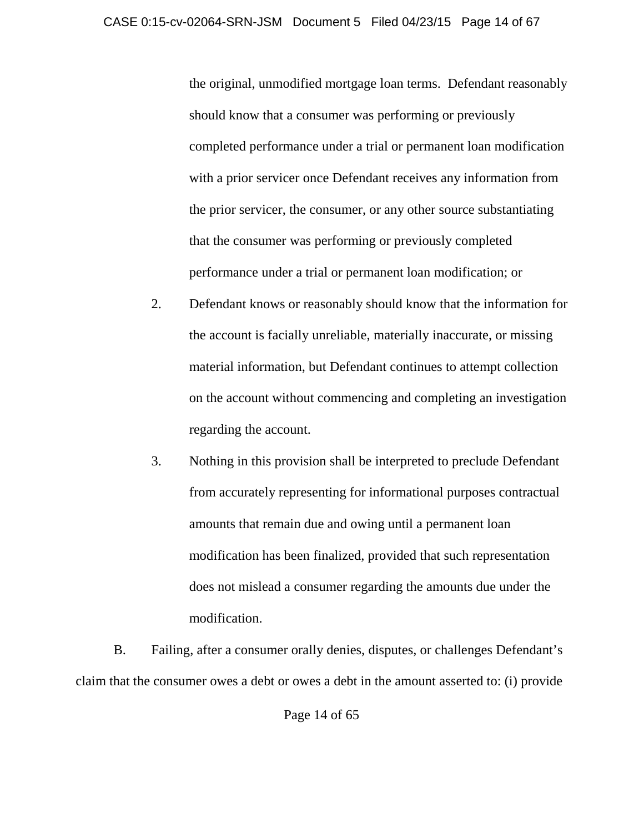the original, unmodified mortgage loan terms. Defendant reasonably should know that a consumer was performing or previously completed performance under a trial or permanent loan modification with a prior servicer once Defendant receives any information from the prior servicer, the consumer, or any other source substantiating that the consumer was performing or previously completed performance under a trial or permanent loan modification; or

- 2. Defendant knows or reasonably should know that the information for the account is facially unreliable, materially inaccurate, or missing material information, but Defendant continues to attempt collection on the account without commencing and completing an investigation regarding the account.
- 3. Nothing in this provision shall be interpreted to preclude Defendant from accurately representing for informational purposes contractual amounts that remain due and owing until a permanent loan modification has been finalized, provided that such representation does not mislead a consumer regarding the amounts due under the modification.

B. Failing, after a consumer orally denies, disputes, or challenges Defendant's claim that the consumer owes a debt or owes a debt in the amount asserted to: (i) provide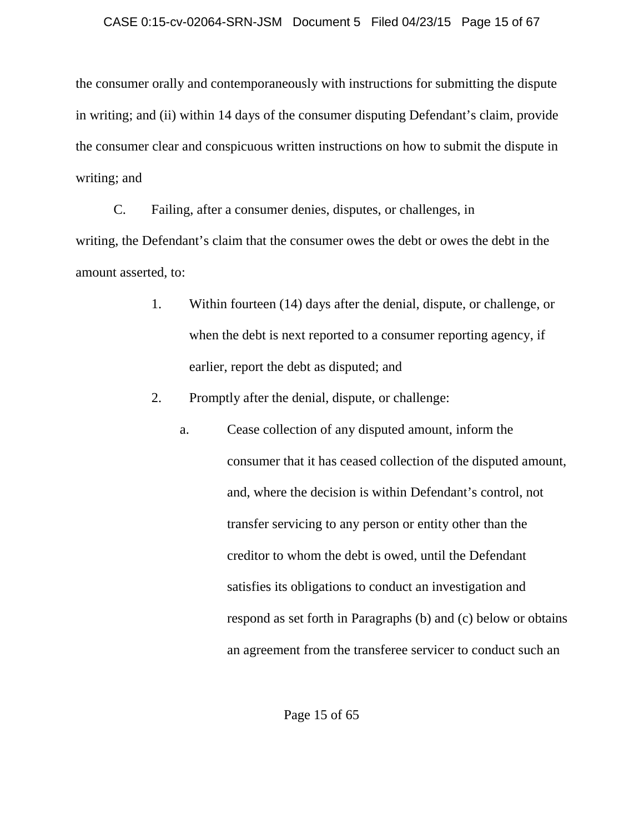### CASE 0:15-cv-02064-SRN-JSM Document 5 Filed 04/23/15 Page 15 of 67

the consumer orally and contemporaneously with instructions for submitting the dispute in writing; and (ii) within 14 days of the consumer disputing Defendant's claim, provide the consumer clear and conspicuous written instructions on how to submit the dispute in writing; and

C. Failing, after a consumer denies, disputes, or challenges, in writing, the Defendant's claim that the consumer owes the debt or owes the debt in the amount asserted, to:

- 1. Within fourteen (14) days after the denial, dispute, or challenge, or when the debt is next reported to a consumer reporting agency, if earlier, report the debt as disputed; and
- 2. Promptly after the denial, dispute, or challenge:
	- a. Cease collection of any disputed amount, inform the consumer that it has ceased collection of the disputed amount, and, where the decision is within Defendant's control, not transfer servicing to any person or entity other than the creditor to whom the debt is owed, until the Defendant satisfies its obligations to conduct an investigation and respond as set forth in Paragraphs (b) and (c) below or obtains an agreement from the transferee servicer to conduct such an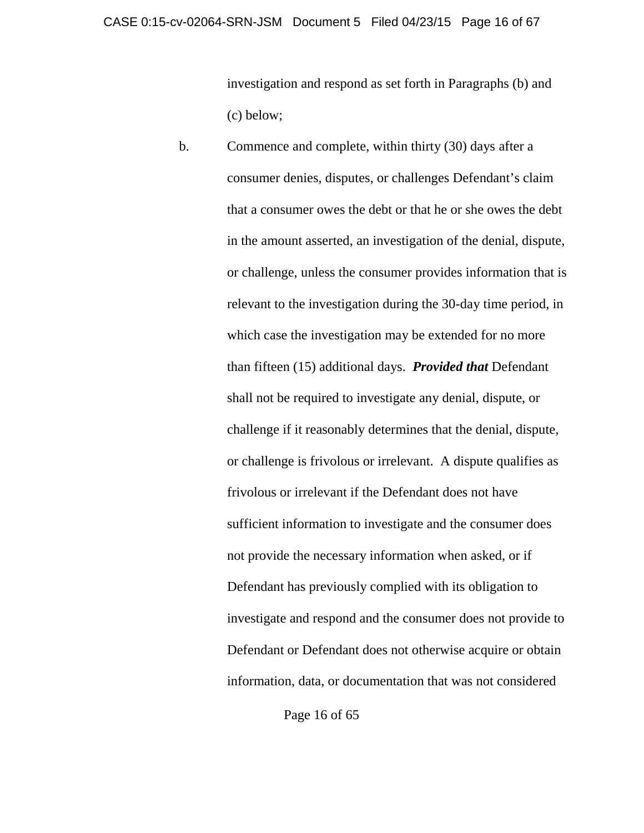investigation and respond as set forth in Paragraphs (b) and (c) below;

b. Commence and complete, within thirty (30) days after a consumer denies, disputes, or challenges Defendant's claim that a consumer owes the debt or that he or she owes the debt in the amount asserted, an investigation of the denial, dispute, or challenge, unless the consumer provides information that is relevant to the investigation during the 30-day time period, in which case the investigation may be extended for no more than fifteen (15) additional days. *Provided that* Defendant shall not be required to investigate any denial, dispute, or challenge if it reasonably determines that the denial, dispute, or challenge is frivolous or irrelevant. A dispute qualifies as frivolous or irrelevant if the Defendant does not have sufficient information to investigate and the consumer does not provide the necessary information when asked, or if Defendant has previously complied with its obligation to investigate and respond and the consumer does not provide to Defendant or Defendant does not otherwise acquire or obtain information, data, or documentation that was not considered

Page 16 of 65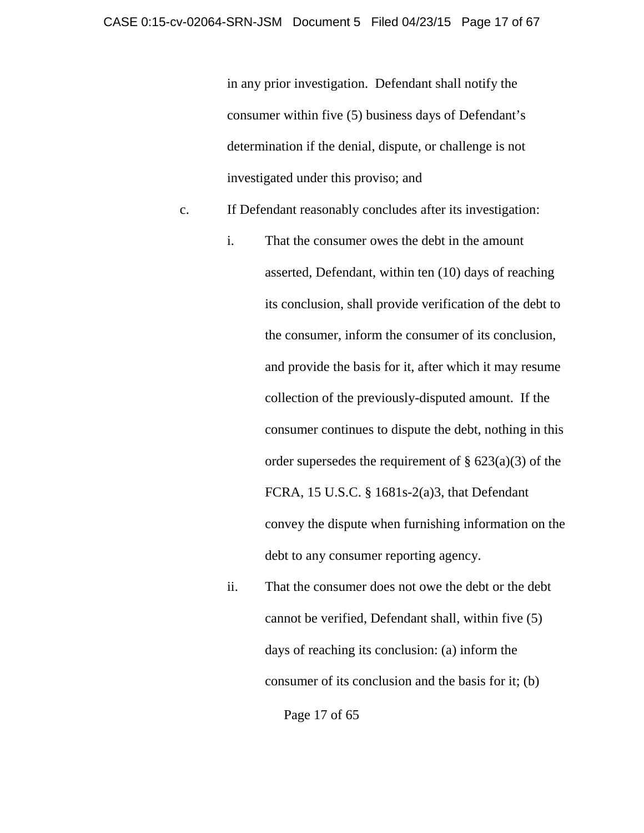in any prior investigation. Defendant shall notify the consumer within five (5) business days of Defendant's determination if the denial, dispute, or challenge is not investigated under this proviso; and

- c. If Defendant reasonably concludes after its investigation:
	- i. That the consumer owes the debt in the amount asserted, Defendant, within ten (10) days of reaching its conclusion, shall provide verification of the debt to the consumer, inform the consumer of its conclusion, and provide the basis for it, after which it may resume collection of the previously-disputed amount. If the consumer continues to dispute the debt, nothing in this order supersedes the requirement of  $\S$  623(a)(3) of the FCRA, 15 U.S.C. § 1681s-2(a)3, that Defendant convey the dispute when furnishing information on the debt to any consumer reporting agency.
	- ii. That the consumer does not owe the debt or the debt cannot be verified, Defendant shall, within five (5) days of reaching its conclusion: (a) inform the consumer of its conclusion and the basis for it; (b)

Page 17 of 65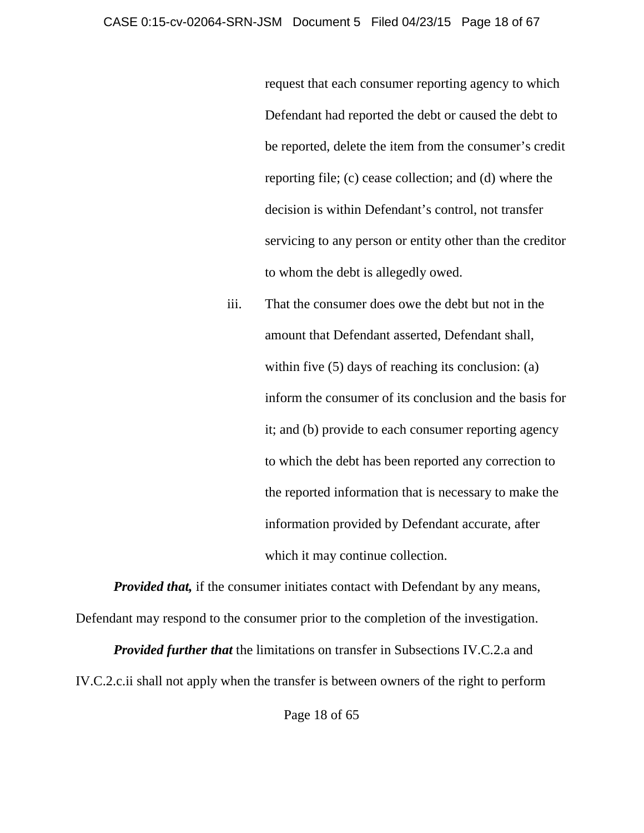request that each consumer reporting agency to which Defendant had reported the debt or caused the debt to be reported, delete the item from the consumer's credit reporting file; (c) cease collection; and (d) where the decision is within Defendant's control, not transfer servicing to any person or entity other than the creditor to whom the debt is allegedly owed.

iii. That the consumer does owe the debt but not in the amount that Defendant asserted, Defendant shall, within five (5) days of reaching its conclusion: (a) inform the consumer of its conclusion and the basis for it; and (b) provide to each consumer reporting agency to which the debt has been reported any correction to the reported information that is necessary to make the information provided by Defendant accurate, after which it may continue collection.

*Provided that,* if the consumer initiates contact with Defendant by any means, Defendant may respond to the consumer prior to the completion of the investigation.

*Provided further that* the limitations on transfer in Subsections IV.C.2.a and IV.C.2.c.ii shall not apply when the transfer is between owners of the right to perform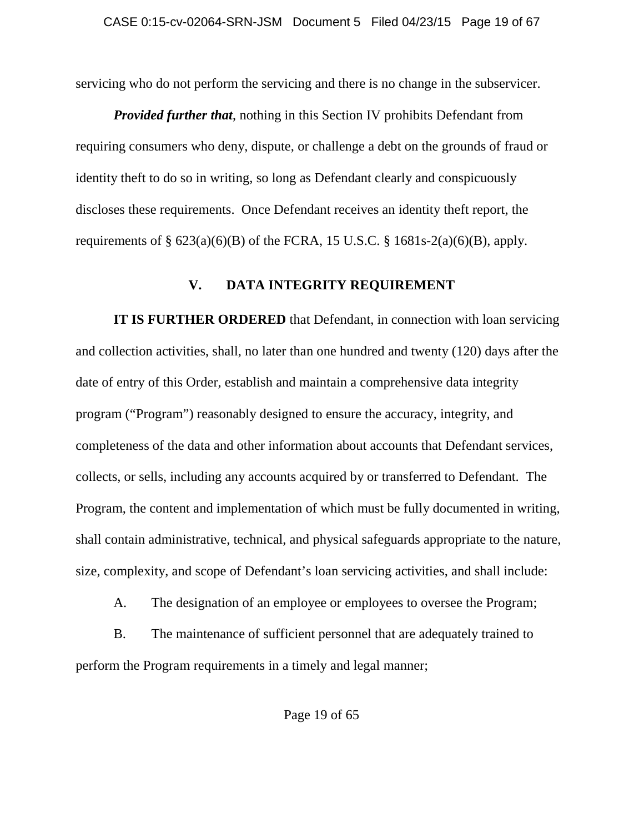servicing who do not perform the servicing and there is no change in the subservicer.

*Provided further that*, nothing in this Section IV prohibits Defendant from requiring consumers who deny, dispute, or challenge a debt on the grounds of fraud or identity theft to do so in writing, so long as Defendant clearly and conspicuously discloses these requirements. Once Defendant receives an identity theft report, the requirements of  $\S 623(a)(6)(B)$  of the FCRA, 15 U.S.C.  $\S 1681s-2(a)(6)(B)$ , apply.

### **V. DATA INTEGRITY REQUIREMENT**

**IT IS FURTHER ORDERED** that Defendant, in connection with loan servicing and collection activities, shall, no later than one hundred and twenty (120) days after the date of entry of this Order, establish and maintain a comprehensive data integrity program ("Program") reasonably designed to ensure the accuracy, integrity, and completeness of the data and other information about accounts that Defendant services, collects, or sells, including any accounts acquired by or transferred to Defendant. The Program, the content and implementation of which must be fully documented in writing, shall contain administrative, technical, and physical safeguards appropriate to the nature, size, complexity, and scope of Defendant's loan servicing activities, and shall include:

A. The designation of an employee or employees to oversee the Program;

B. The maintenance of sufficient personnel that are adequately trained to perform the Program requirements in a timely and legal manner;

Page 19 of 65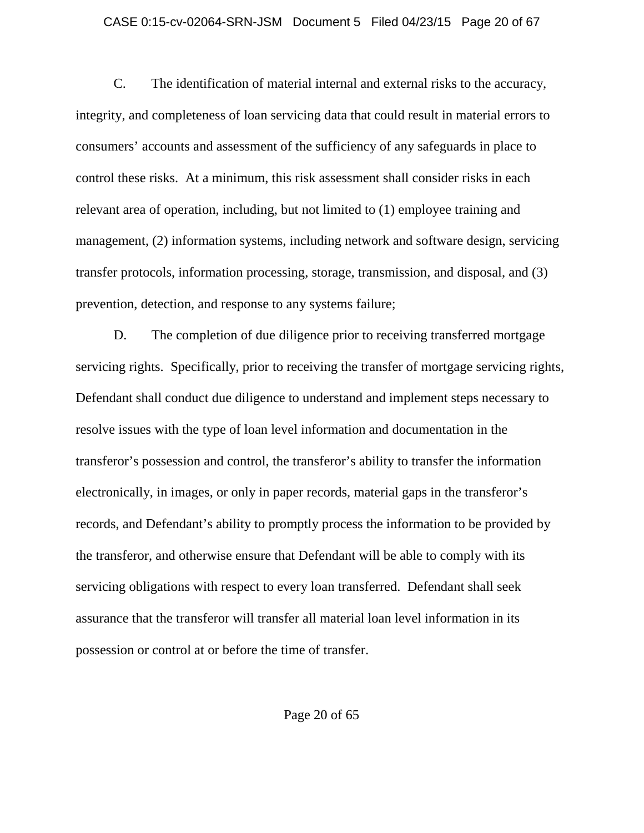### CASE 0:15-cv-02064-SRN-JSM Document 5 Filed 04/23/15 Page 20 of 67

C. The identification of material internal and external risks to the accuracy, integrity, and completeness of loan servicing data that could result in material errors to consumers' accounts and assessment of the sufficiency of any safeguards in place to control these risks. At a minimum, this risk assessment shall consider risks in each relevant area of operation, including, but not limited to (1) employee training and management, (2) information systems, including network and software design, servicing transfer protocols, information processing, storage, transmission, and disposal, and (3) prevention, detection, and response to any systems failure;

D. The completion of due diligence prior to receiving transferred mortgage servicing rights. Specifically, prior to receiving the transfer of mortgage servicing rights, Defendant shall conduct due diligence to understand and implement steps necessary to resolve issues with the type of loan level information and documentation in the transferor's possession and control, the transferor's ability to transfer the information electronically, in images, or only in paper records, material gaps in the transferor's records, and Defendant's ability to promptly process the information to be provided by the transferor, and otherwise ensure that Defendant will be able to comply with its servicing obligations with respect to every loan transferred. Defendant shall seek assurance that the transferor will transfer all material loan level information in its possession or control at or before the time of transfer.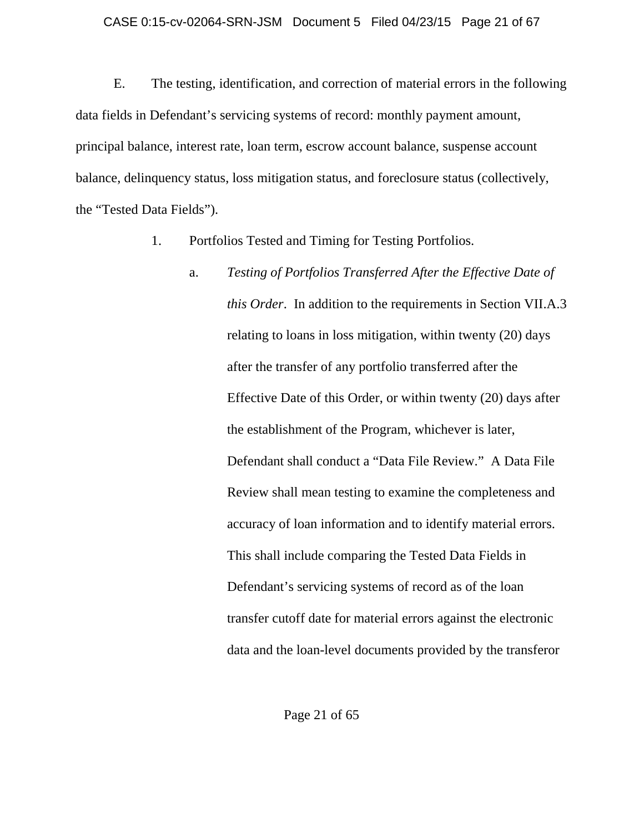E. The testing, identification, and correction of material errors in the following data fields in Defendant's servicing systems of record: monthly payment amount, principal balance, interest rate, loan term, escrow account balance, suspense account balance, delinquency status, loss mitigation status, and foreclosure status (collectively, the "Tested Data Fields").

- 1. Portfolios Tested and Timing for Testing Portfolios.
	- a. *Testing of Portfolios Transferred After the Effective Date of this Order*. In addition to the requirements in Section VII.A.3 relating to loans in loss mitigation, within twenty (20) days after the transfer of any portfolio transferred after the Effective Date of this Order, or within twenty (20) days after the establishment of the Program, whichever is later, Defendant shall conduct a "Data File Review." A Data File Review shall mean testing to examine the completeness and accuracy of loan information and to identify material errors. This shall include comparing the Tested Data Fields in Defendant's servicing systems of record as of the loan transfer cutoff date for material errors against the electronic data and the loan-level documents provided by the transferor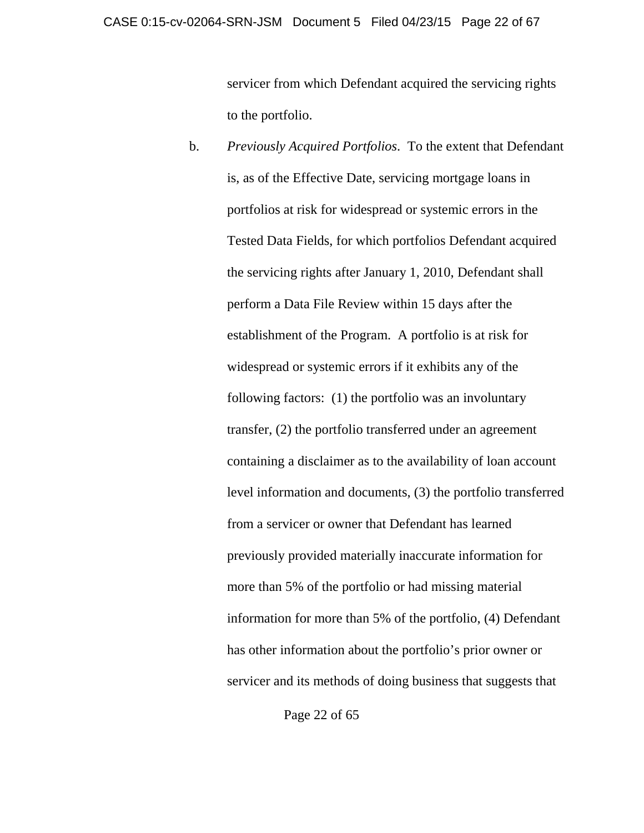servicer from which Defendant acquired the servicing rights to the portfolio.

b. *Previously Acquired Portfolios*. To the extent that Defendant is, as of the Effective Date, servicing mortgage loans in portfolios at risk for widespread or systemic errors in the Tested Data Fields, for which portfolios Defendant acquired the servicing rights after January 1, 2010, Defendant shall perform a Data File Review within 15 days after the establishment of the Program. A portfolio is at risk for widespread or systemic errors if it exhibits any of the following factors: (1) the portfolio was an involuntary transfer, (2) the portfolio transferred under an agreement containing a disclaimer as to the availability of loan account level information and documents, (3) the portfolio transferred from a servicer or owner that Defendant has learned previously provided materially inaccurate information for more than 5% of the portfolio or had missing material information for more than 5% of the portfolio, (4) Defendant has other information about the portfolio's prior owner or servicer and its methods of doing business that suggests that

Page 22 of 65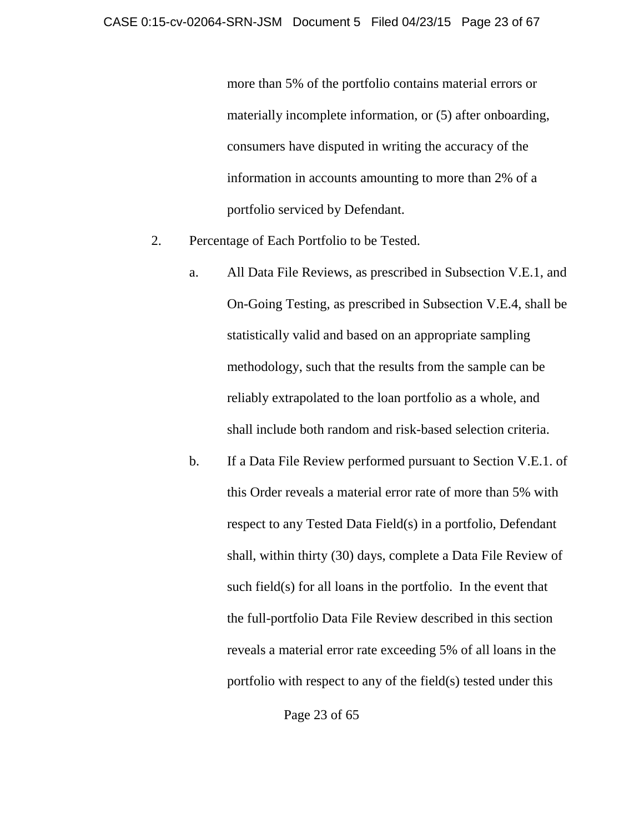more than 5% of the portfolio contains material errors or materially incomplete information, or (5) after onboarding, consumers have disputed in writing the accuracy of the information in accounts amounting to more than 2% of a portfolio serviced by Defendant.

- 2. Percentage of Each Portfolio to be Tested.
	- a. All Data File Reviews, as prescribed in Subsection V.E.1, and On-Going Testing, as prescribed in Subsection V.E.4, shall be statistically valid and based on an appropriate sampling methodology, such that the results from the sample can be reliably extrapolated to the loan portfolio as a whole, and shall include both random and risk-based selection criteria.
	- b. If a Data File Review performed pursuant to Section V.E.1. of this Order reveals a material error rate of more than 5% with respect to any Tested Data Field(s) in a portfolio, Defendant shall, within thirty (30) days, complete a Data File Review of such field(s) for all loans in the portfolio. In the event that the full-portfolio Data File Review described in this section reveals a material error rate exceeding 5% of all loans in the portfolio with respect to any of the field(s) tested under this

Page 23 of 65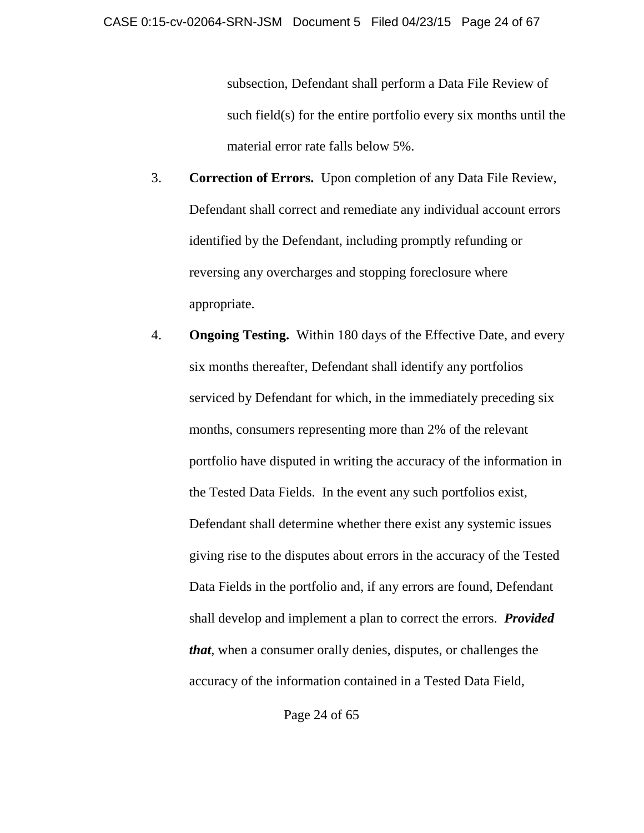subsection, Defendant shall perform a Data File Review of such field(s) for the entire portfolio every six months until the material error rate falls below 5%.

- 3. **Correction of Errors.** Upon completion of any Data File Review, Defendant shall correct and remediate any individual account errors identified by the Defendant, including promptly refunding or reversing any overcharges and stopping foreclosure where appropriate.
- 4. **Ongoing Testing.** Within 180 days of the Effective Date, and every six months thereafter, Defendant shall identify any portfolios serviced by Defendant for which, in the immediately preceding six months, consumers representing more than 2% of the relevant portfolio have disputed in writing the accuracy of the information in the Tested Data Fields. In the event any such portfolios exist, Defendant shall determine whether there exist any systemic issues giving rise to the disputes about errors in the accuracy of the Tested Data Fields in the portfolio and, if any errors are found, Defendant shall develop and implement a plan to correct the errors. *Provided that*, when a consumer orally denies, disputes, or challenges the accuracy of the information contained in a Tested Data Field,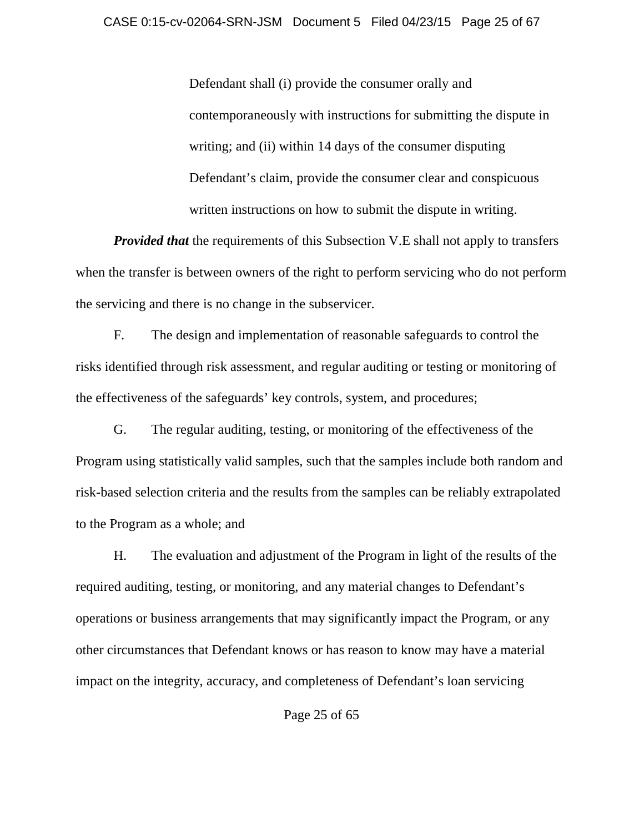Defendant shall (i) provide the consumer orally and contemporaneously with instructions for submitting the dispute in writing; and (ii) within 14 days of the consumer disputing Defendant's claim, provide the consumer clear and conspicuous written instructions on how to submit the dispute in writing.

*Provided that* the requirements of this Subsection V.E shall not apply to transfers when the transfer is between owners of the right to perform servicing who do not perform the servicing and there is no change in the subservicer.

F. The design and implementation of reasonable safeguards to control the risks identified through risk assessment, and regular auditing or testing or monitoring of the effectiveness of the safeguards' key controls, system, and procedures;

G. The regular auditing, testing, or monitoring of the effectiveness of the Program using statistically valid samples, such that the samples include both random and risk-based selection criteria and the results from the samples can be reliably extrapolated to the Program as a whole; and

H. The evaluation and adjustment of the Program in light of the results of the required auditing, testing, or monitoring, and any material changes to Defendant's operations or business arrangements that may significantly impact the Program, or any other circumstances that Defendant knows or has reason to know may have a material impact on the integrity, accuracy, and completeness of Defendant's loan servicing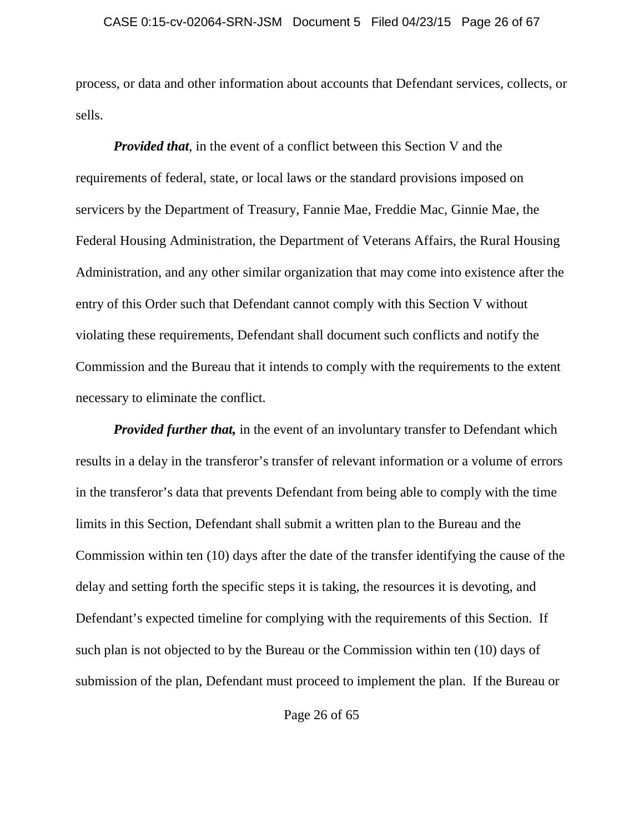process, or data and other information about accounts that Defendant services, collects, or sells.

*Provided that*, in the event of a conflict between this Section V and the requirements of federal, state, or local laws or the standard provisions imposed on servicers by the Department of Treasury, Fannie Mae, Freddie Mac, Ginnie Mae, the Federal Housing Administration, the Department of Veterans Affairs, the Rural Housing Administration, and any other similar organization that may come into existence after the entry of this Order such that Defendant cannot comply with this Section V without violating these requirements, Defendant shall document such conflicts and notify the Commission and the Bureau that it intends to comply with the requirements to the extent necessary to eliminate the conflict.

*Provided further that,* in the event of an involuntary transfer to Defendant which results in a delay in the transferor's transfer of relevant information or a volume of errors in the transferor's data that prevents Defendant from being able to comply with the time limits in this Section, Defendant shall submit a written plan to the Bureau and the Commission within ten (10) days after the date of the transfer identifying the cause of the delay and setting forth the specific steps it is taking, the resources it is devoting, and Defendant's expected timeline for complying with the requirements of this Section. If such plan is not objected to by the Bureau or the Commission within ten (10) days of submission of the plan, Defendant must proceed to implement the plan. If the Bureau or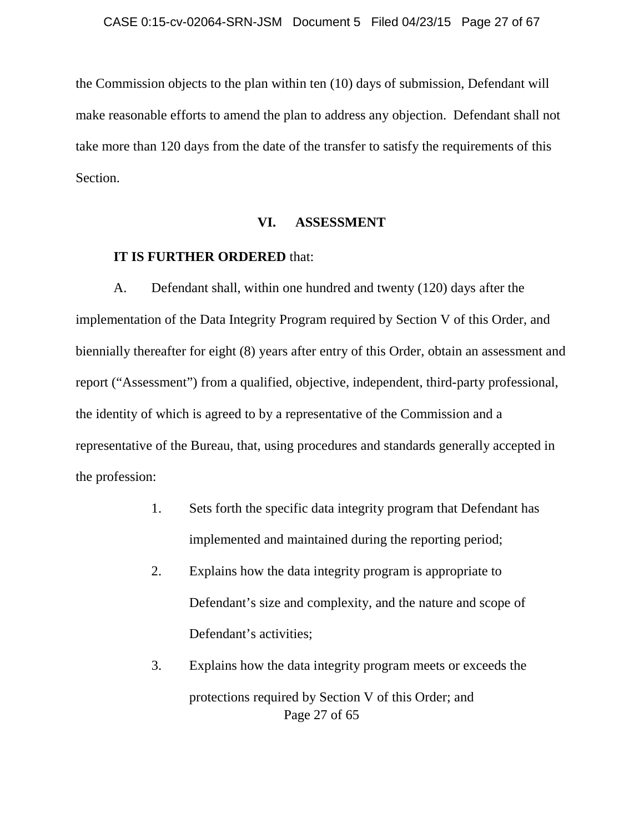the Commission objects to the plan within ten (10) days of submission, Defendant will make reasonable efforts to amend the plan to address any objection. Defendant shall not take more than 120 days from the date of the transfer to satisfy the requirements of this Section.

### **VI. ASSESSMENT**

### **IT IS FURTHER ORDERED** that:

A. Defendant shall, within one hundred and twenty (120) days after the implementation of the Data Integrity Program required by Section V of this Order, and biennially thereafter for eight (8) years after entry of this Order, obtain an assessment and report ("Assessment") from a qualified, objective, independent, third-party professional, the identity of which is agreed to by a representative of the Commission and a representative of the Bureau, that, using procedures and standards generally accepted in the profession:

- 1. Sets forth the specific data integrity program that Defendant has implemented and maintained during the reporting period;
- 2. Explains how the data integrity program is appropriate to Defendant's size and complexity, and the nature and scope of Defendant's activities;
- Page 27 of 65 3. Explains how the data integrity program meets or exceeds the protections required by Section V of this Order; and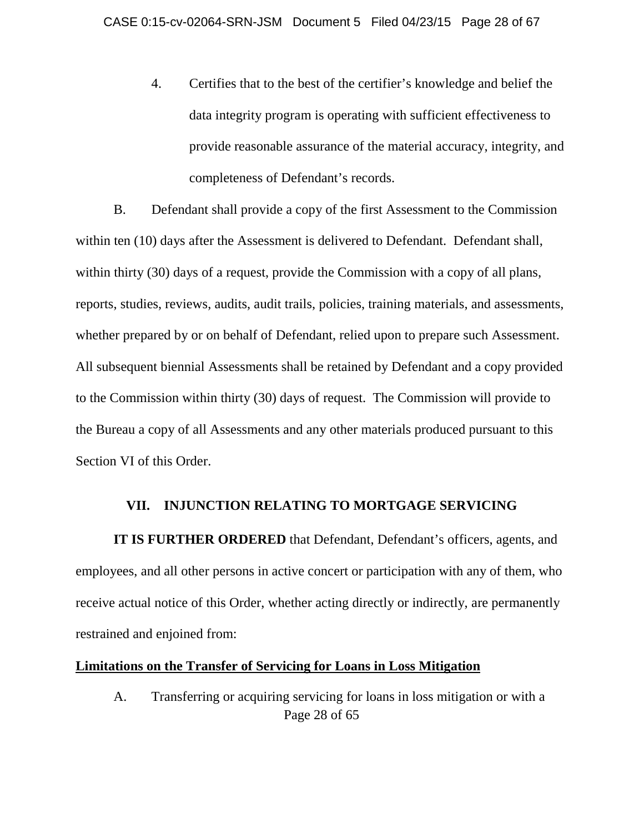4. Certifies that to the best of the certifier's knowledge and belief the data integrity program is operating with sufficient effectiveness to provide reasonable assurance of the material accuracy, integrity, and completeness of Defendant's records.

B. Defendant shall provide a copy of the first Assessment to the Commission within ten (10) days after the Assessment is delivered to Defendant. Defendant shall, within thirty (30) days of a request, provide the Commission with a copy of all plans, reports, studies, reviews, audits, audit trails, policies, training materials, and assessments, whether prepared by or on behalf of Defendant, relied upon to prepare such Assessment. All subsequent biennial Assessments shall be retained by Defendant and a copy provided to the Commission within thirty (30) days of request. The Commission will provide to the Bureau a copy of all Assessments and any other materials produced pursuant to this Section VI of this Order.

### **VII. INJUNCTION RELATING TO MORTGAGE SERVICING**

**IT IS FURTHER ORDERED** that Defendant, Defendant's officers, agents, and employees, and all other persons in active concert or participation with any of them, who receive actual notice of this Order, whether acting directly or indirectly, are permanently restrained and enjoined from:

### **Limitations on the Transfer of Servicing for Loans in Loss Mitigation**

Page 28 of 65 A. Transferring or acquiring servicing for loans in loss mitigation or with a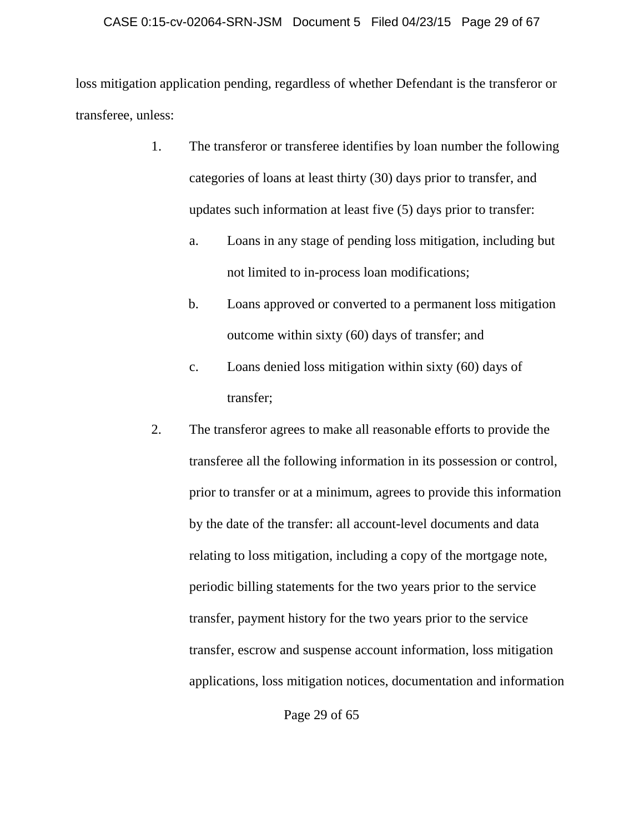### CASE 0:15-cv-02064-SRN-JSM Document 5 Filed 04/23/15 Page 29 of 67

loss mitigation application pending, regardless of whether Defendant is the transferor or transferee, unless:

- 1. The transferor or transferee identifies by loan number the following categories of loans at least thirty (30) days prior to transfer, and updates such information at least five (5) days prior to transfer:
	- a. Loans in any stage of pending loss mitigation, including but not limited to in-process loan modifications;
	- b. Loans approved or converted to a permanent loss mitigation outcome within sixty (60) days of transfer; and
	- c. Loans denied loss mitigation within sixty (60) days of transfer;
- 2. The transferor agrees to make all reasonable efforts to provide the transferee all the following information in its possession or control, prior to transfer or at a minimum, agrees to provide this information by the date of the transfer: all account-level documents and data relating to loss mitigation, including a copy of the mortgage note, periodic billing statements for the two years prior to the service transfer, payment history for the two years prior to the service transfer, escrow and suspense account information, loss mitigation applications, loss mitigation notices, documentation and information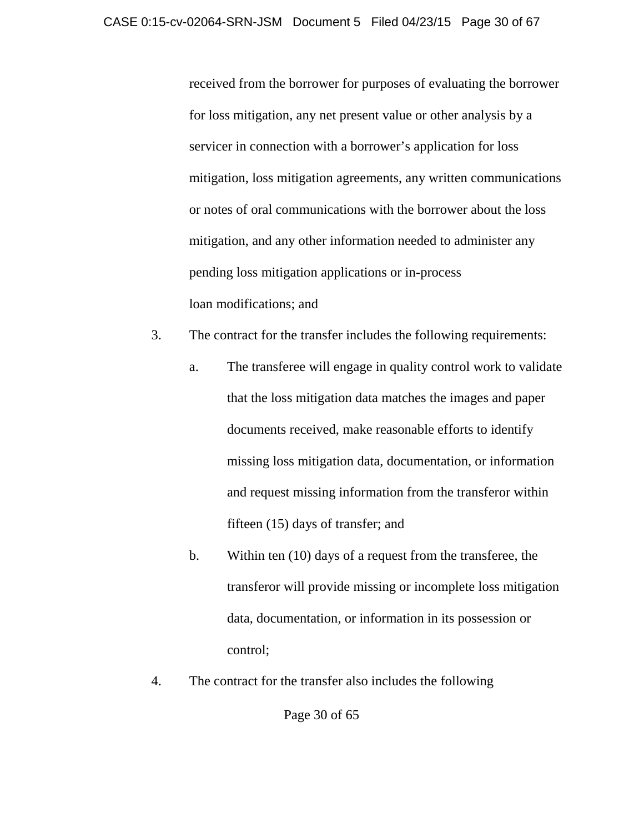received from the borrower for purposes of evaluating the borrower for loss mitigation, any net present value or other analysis by a servicer in connection with a borrower's application for loss mitigation, loss mitigation agreements, any written communications or notes of oral communications with the borrower about the loss mitigation, and any other information needed to administer any pending loss mitigation applications or in-process loan modifications; and

- 3. The contract for the transfer includes the following requirements:
	- a. The transferee will engage in quality control work to validate that the loss mitigation data matches the images and paper documents received, make reasonable efforts to identify missing loss mitigation data, documentation, or information and request missing information from the transferor within fifteen (15) days of transfer; and
	- b. Within ten (10) days of a request from the transferee, the transferor will provide missing or incomplete loss mitigation data, documentation, or information in its possession or control;
- 4. The contract for the transfer also includes the following

Page 30 of 65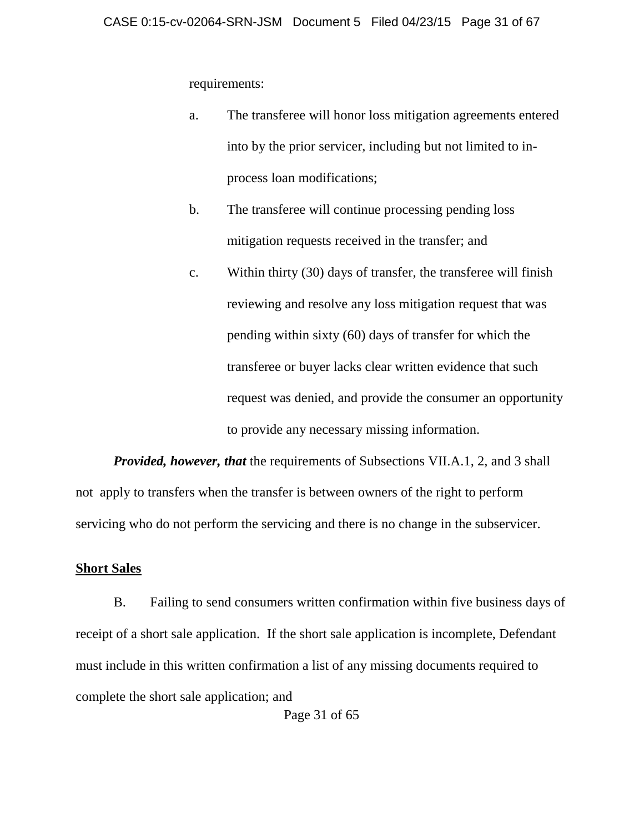requirements:

- a. The transferee will honor loss mitigation agreements entered into by the prior servicer, including but not limited to inprocess loan modifications;
- b. The transferee will continue processing pending loss mitigation requests received in the transfer; and
- c. Within thirty (30) days of transfer, the transferee will finish reviewing and resolve any loss mitigation request that was pending within sixty (60) days of transfer for which the transferee or buyer lacks clear written evidence that such request was denied, and provide the consumer an opportunity to provide any necessary missing information.

*Provided, however, that* the requirements of Subsections VII.A.1, 2, and 3 shall not apply to transfers when the transfer is between owners of the right to perform servicing who do not perform the servicing and there is no change in the subservicer.

### **Short Sales**

B. Failing to send consumers written confirmation within five business days of receipt of a short sale application. If the short sale application is incomplete, Defendant must include in this written confirmation a list of any missing documents required to complete the short sale application; and

Page 31 of 65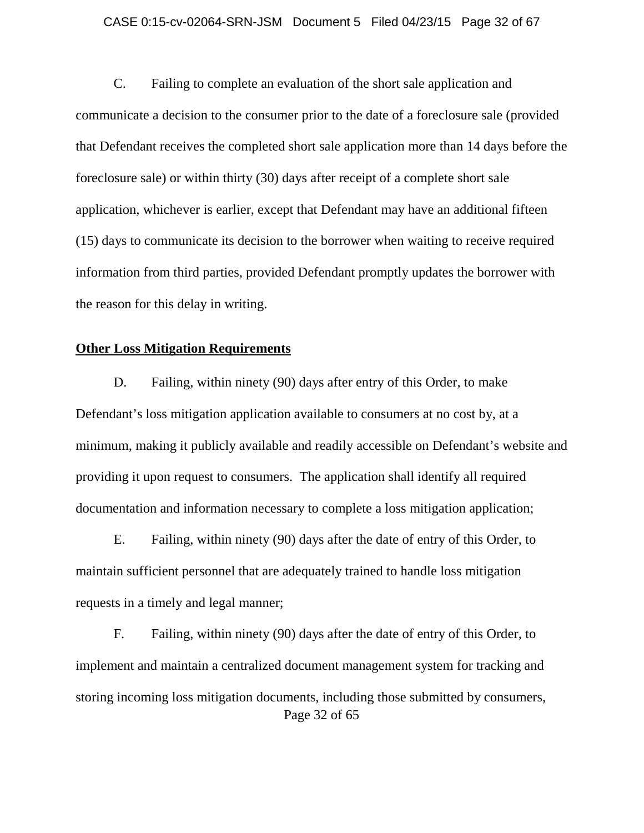#### CASE 0:15-cv-02064-SRN-JSM Document 5 Filed 04/23/15 Page 32 of 67

C. Failing to complete an evaluation of the short sale application and communicate a decision to the consumer prior to the date of a foreclosure sale (provided that Defendant receives the completed short sale application more than 14 days before the foreclosure sale) or within thirty (30) days after receipt of a complete short sale application, whichever is earlier, except that Defendant may have an additional fifteen (15) days to communicate its decision to the borrower when waiting to receive required information from third parties, provided Defendant promptly updates the borrower with the reason for this delay in writing.

## **Other Loss Mitigation Requirements**

D. Failing, within ninety (90) days after entry of this Order, to make Defendant's loss mitigation application available to consumers at no cost by, at a minimum, making it publicly available and readily accessible on Defendant's website and providing it upon request to consumers. The application shall identify all required documentation and information necessary to complete a loss mitigation application;

E. Failing, within ninety (90) days after the date of entry of this Order, to maintain sufficient personnel that are adequately trained to handle loss mitigation requests in a timely and legal manner;

Page 32 of 65 F. Failing, within ninety (90) days after the date of entry of this Order, to implement and maintain a centralized document management system for tracking and storing incoming loss mitigation documents, including those submitted by consumers,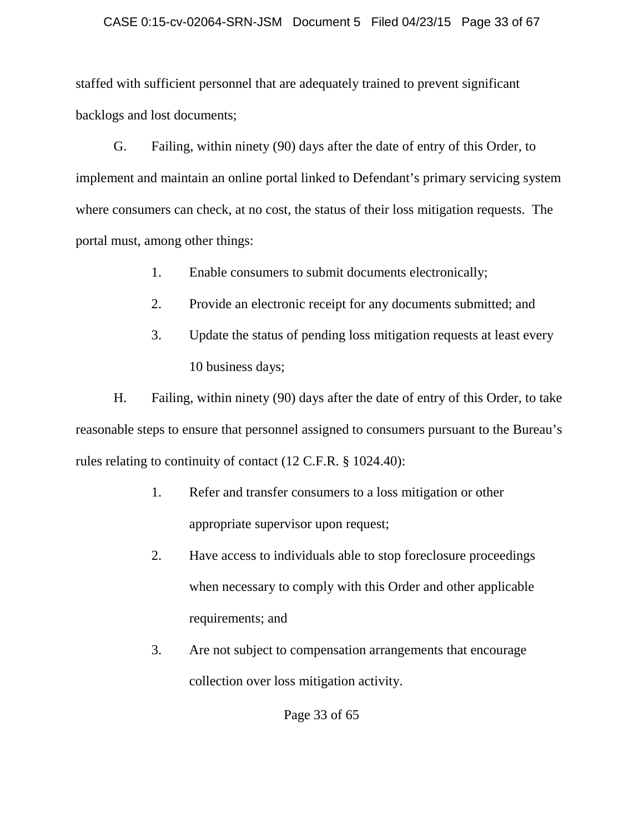### CASE 0:15-cv-02064-SRN-JSM Document 5 Filed 04/23/15 Page 33 of 67

staffed with sufficient personnel that are adequately trained to prevent significant backlogs and lost documents;

G. Failing, within ninety (90) days after the date of entry of this Order, to implement and maintain an online portal linked to Defendant's primary servicing system where consumers can check, at no cost, the status of their loss mitigation requests. The portal must, among other things:

- 1. Enable consumers to submit documents electronically;
- 2. Provide an electronic receipt for any documents submitted; and
- 3. Update the status of pending loss mitigation requests at least every 10 business days;

H. Failing, within ninety (90) days after the date of entry of this Order, to take reasonable steps to ensure that personnel assigned to consumers pursuant to the Bureau's rules relating to continuity of contact (12 C.F.R. § 1024.40):

- 1. Refer and transfer consumers to a loss mitigation or other appropriate supervisor upon request;
- 2. Have access to individuals able to stop foreclosure proceedings when necessary to comply with this Order and other applicable requirements; and
- 3. Are not subject to compensation arrangements that encourage collection over loss mitigation activity.

Page 33 of 65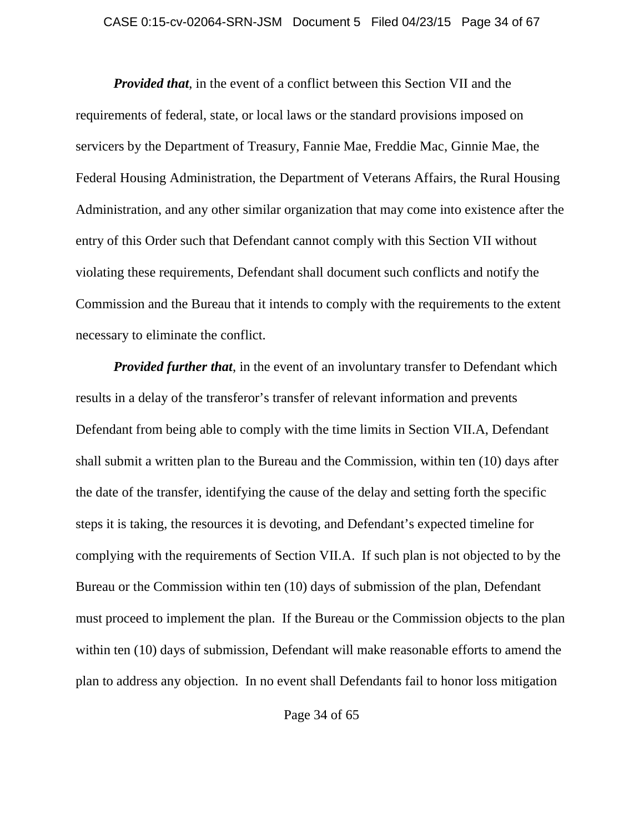### CASE 0:15-cv-02064-SRN-JSM Document 5 Filed 04/23/15 Page 34 of 67

*Provided that*, in the event of a conflict between this Section VII and the requirements of federal, state, or local laws or the standard provisions imposed on servicers by the Department of Treasury, Fannie Mae, Freddie Mac, Ginnie Mae, the Federal Housing Administration, the Department of Veterans Affairs, the Rural Housing Administration, and any other similar organization that may come into existence after the entry of this Order such that Defendant cannot comply with this Section VII without violating these requirements, Defendant shall document such conflicts and notify the Commission and the Bureau that it intends to comply with the requirements to the extent necessary to eliminate the conflict.

*Provided further that*, in the event of an involuntary transfer to Defendant which results in a delay of the transferor's transfer of relevant information and prevents Defendant from being able to comply with the time limits in Section VII.A, Defendant shall submit a written plan to the Bureau and the Commission, within ten (10) days after the date of the transfer, identifying the cause of the delay and setting forth the specific steps it is taking, the resources it is devoting, and Defendant's expected timeline for complying with the requirements of Section VII.A. If such plan is not objected to by the Bureau or the Commission within ten (10) days of submission of the plan, Defendant must proceed to implement the plan. If the Bureau or the Commission objects to the plan within ten (10) days of submission, Defendant will make reasonable efforts to amend the plan to address any objection. In no event shall Defendants fail to honor loss mitigation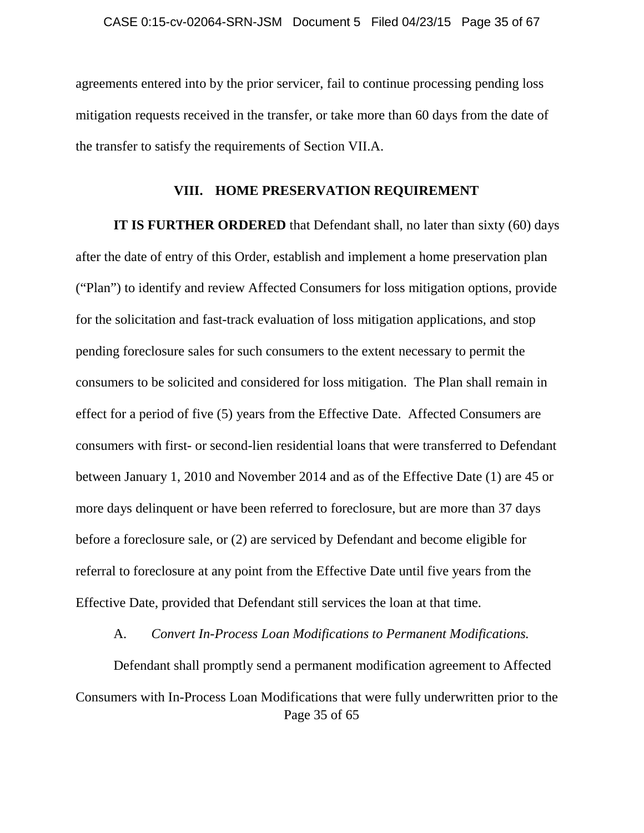agreements entered into by the prior servicer, fail to continue processing pending loss mitigation requests received in the transfer, or take more than 60 days from the date of the transfer to satisfy the requirements of Section VII.A.

#### **VIII. HOME PRESERVATION REQUIREMENT**

**IT IS FURTHER ORDERED** that Defendant shall, no later than sixty (60) days after the date of entry of this Order, establish and implement a home preservation plan ("Plan") to identify and review Affected Consumers for loss mitigation options, provide for the solicitation and fast-track evaluation of loss mitigation applications, and stop pending foreclosure sales for such consumers to the extent necessary to permit the consumers to be solicited and considered for loss mitigation. The Plan shall remain in effect for a period of five (5) years from the Effective Date. Affected Consumers are consumers with first- or second-lien residential loans that were transferred to Defendant between January 1, 2010 and November 2014 and as of the Effective Date (1) are 45 or more days delinquent or have been referred to foreclosure, but are more than 37 days before a foreclosure sale, or (2) are serviced by Defendant and become eligible for referral to foreclosure at any point from the Effective Date until five years from the Effective Date, provided that Defendant still services the loan at that time.

#### A. *Convert In-Process Loan Modifications to Permanent Modifications.*

Page 35 of 65 Defendant shall promptly send a permanent modification agreement to Affected Consumers with In-Process Loan Modifications that were fully underwritten prior to the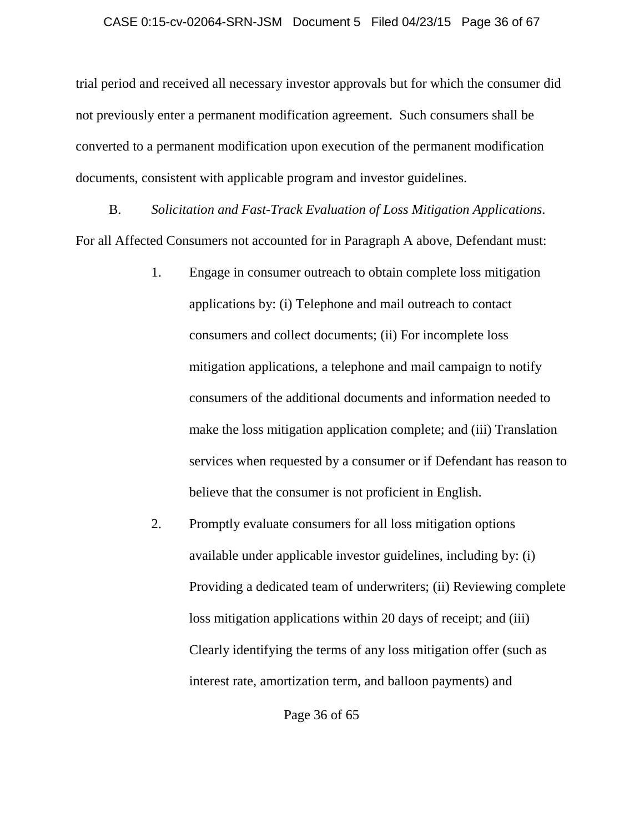trial period and received all necessary investor approvals but for which the consumer did not previously enter a permanent modification agreement. Such consumers shall be converted to a permanent modification upon execution of the permanent modification documents, consistent with applicable program and investor guidelines.

B. *Solicitation and Fast-Track Evaluation of Loss Mitigation Applications*. For all Affected Consumers not accounted for in Paragraph A above, Defendant must:

- 1. Engage in consumer outreach to obtain complete loss mitigation applications by: (i) Telephone and mail outreach to contact consumers and collect documents; (ii) For incomplete loss mitigation applications, a telephone and mail campaign to notify consumers of the additional documents and information needed to make the loss mitigation application complete; and (iii) Translation services when requested by a consumer or if Defendant has reason to believe that the consumer is not proficient in English.
- 2. Promptly evaluate consumers for all loss mitigation options available under applicable investor guidelines, including by: (i) Providing a dedicated team of underwriters; (ii) Reviewing complete loss mitigation applications within 20 days of receipt; and (iii) Clearly identifying the terms of any loss mitigation offer (such as interest rate, amortization term, and balloon payments) and

Page 36 of 65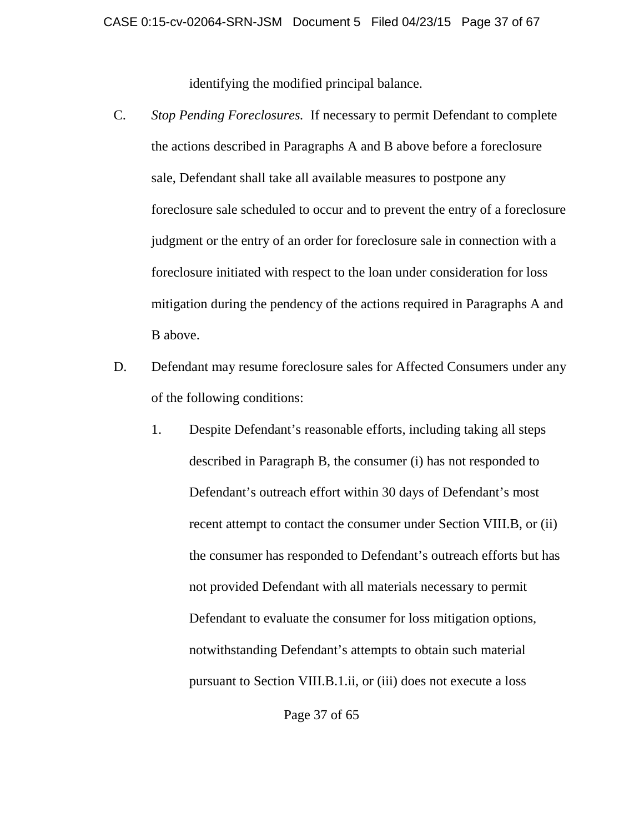identifying the modified principal balance.

- C. *Stop Pending Foreclosures.* If necessary to permit Defendant to complete the actions described in Paragraphs A and B above before a foreclosure sale, Defendant shall take all available measures to postpone any foreclosure sale scheduled to occur and to prevent the entry of a foreclosure judgment or the entry of an order for foreclosure sale in connection with a foreclosure initiated with respect to the loan under consideration for loss mitigation during the pendency of the actions required in Paragraphs A and B above.
- D. Defendant may resume foreclosure sales for Affected Consumers under any of the following conditions:
	- 1. Despite Defendant's reasonable efforts, including taking all steps described in Paragraph B, the consumer (i) has not responded to Defendant's outreach effort within 30 days of Defendant's most recent attempt to contact the consumer under Section VIII.B, or (ii) the consumer has responded to Defendant's outreach efforts but has not provided Defendant with all materials necessary to permit Defendant to evaluate the consumer for loss mitigation options, notwithstanding Defendant's attempts to obtain such material pursuant to Section VIII.B.1.ii, or (iii) does not execute a loss

Page 37 of 65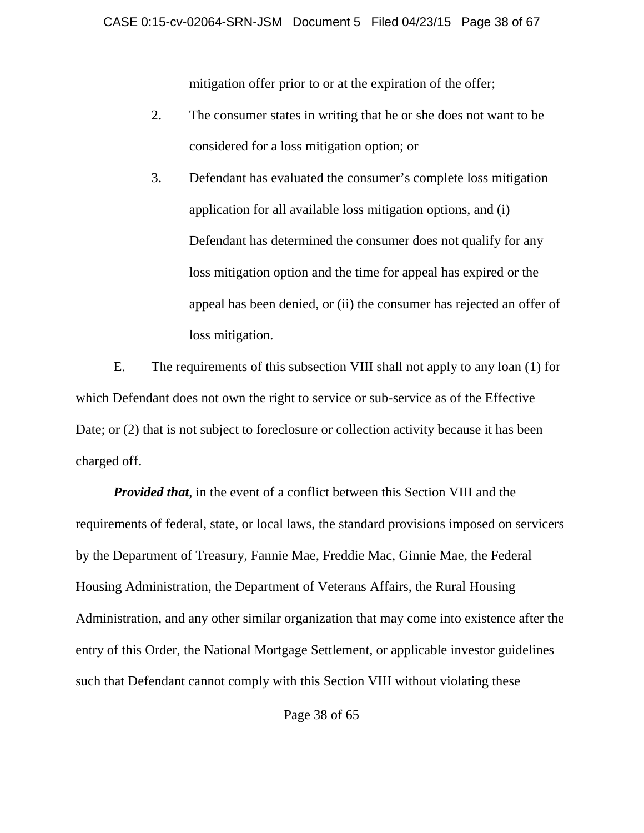mitigation offer prior to or at the expiration of the offer;

- 2. The consumer states in writing that he or she does not want to be considered for a loss mitigation option; or
- 3. Defendant has evaluated the consumer's complete loss mitigation application for all available loss mitigation options, and (i) Defendant has determined the consumer does not qualify for any loss mitigation option and the time for appeal has expired or the appeal has been denied, or (ii) the consumer has rejected an offer of loss mitigation.

E. The requirements of this subsection VIII shall not apply to any loan (1) for which Defendant does not own the right to service or sub-service as of the Effective Date; or (2) that is not subject to foreclosure or collection activity because it has been charged off.

*Provided that*, in the event of a conflict between this Section VIII and the requirements of federal, state, or local laws, the standard provisions imposed on servicers by the Department of Treasury, Fannie Mae, Freddie Mac, Ginnie Mae, the Federal Housing Administration, the Department of Veterans Affairs, the Rural Housing Administration, and any other similar organization that may come into existence after the entry of this Order, the National Mortgage Settlement, or applicable investor guidelines such that Defendant cannot comply with this Section VIII without violating these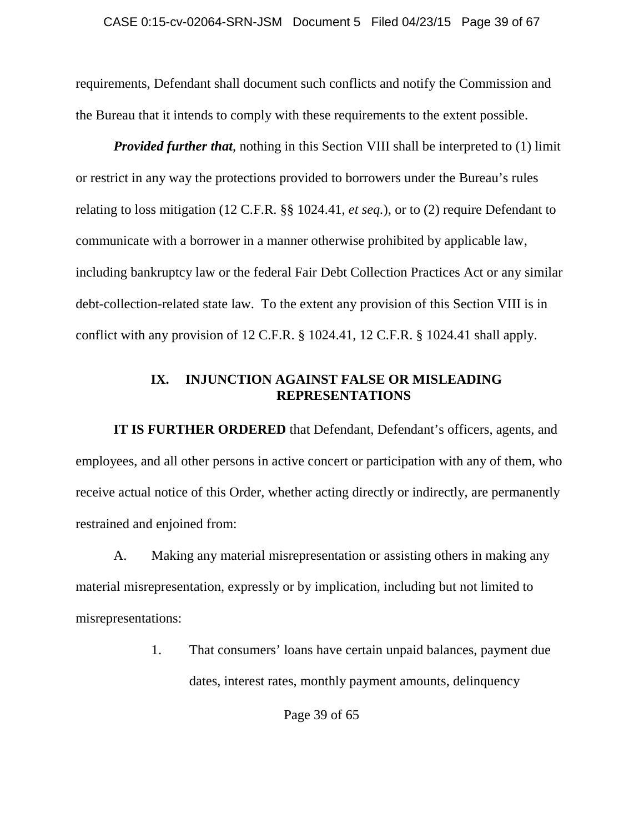requirements, Defendant shall document such conflicts and notify the Commission and the Bureau that it intends to comply with these requirements to the extent possible.

*Provided further that*, nothing in this Section VIII shall be interpreted to (1) limit or restrict in any way the protections provided to borrowers under the Bureau's rules relating to loss mitigation (12 C.F.R. §§ 1024.41, *et seq.*), or to (2) require Defendant to communicate with a borrower in a manner otherwise prohibited by applicable law, including bankruptcy law or the federal Fair Debt Collection Practices Act or any similar debt-collection-related state law. To the extent any provision of this Section VIII is in conflict with any provision of 12 C.F.R. § 1024.41, 12 C.F.R. § 1024.41 shall apply.

## **IX. INJUNCTION AGAINST FALSE OR MISLEADING REPRESENTATIONS**

**IT IS FURTHER ORDERED** that Defendant, Defendant's officers, agents, and employees, and all other persons in active concert or participation with any of them, who receive actual notice of this Order, whether acting directly or indirectly, are permanently restrained and enjoined from:

A. Making any material misrepresentation or assisting others in making any material misrepresentation, expressly or by implication, including but not limited to misrepresentations:

> 1. That consumers' loans have certain unpaid balances, payment due dates, interest rates, monthly payment amounts, delinquency

> > Page 39 of 65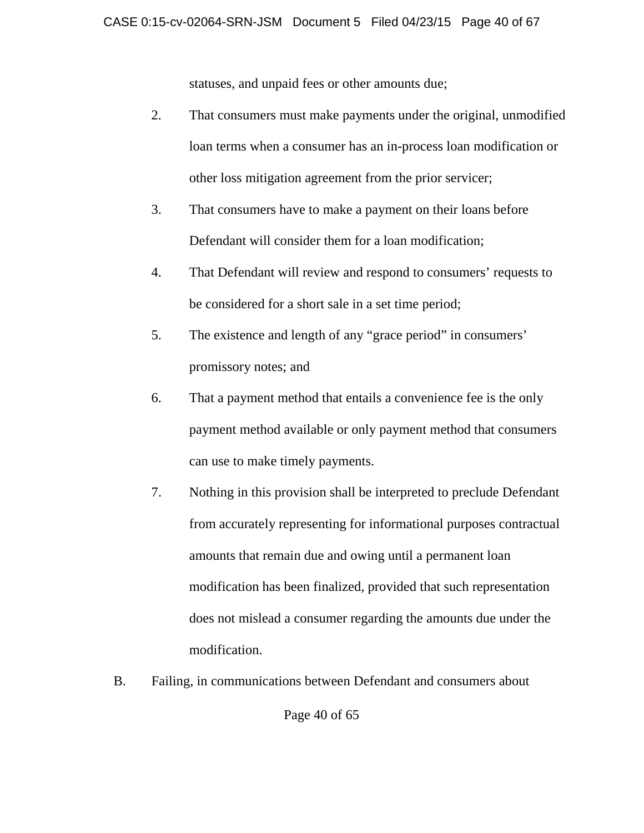statuses, and unpaid fees or other amounts due;

- 2. That consumers must make payments under the original, unmodified loan terms when a consumer has an in-process loan modification or other loss mitigation agreement from the prior servicer;
- 3. That consumers have to make a payment on their loans before Defendant will consider them for a loan modification;
- 4. That Defendant will review and respond to consumers' requests to be considered for a short sale in a set time period;
- 5. The existence and length of any "grace period" in consumers' promissory notes; and
- 6. That a payment method that entails a convenience fee is the only payment method available or only payment method that consumers can use to make timely payments.
- 7. Nothing in this provision shall be interpreted to preclude Defendant from accurately representing for informational purposes contractual amounts that remain due and owing until a permanent loan modification has been finalized, provided that such representation does not mislead a consumer regarding the amounts due under the modification.
- B. Failing, in communications between Defendant and consumers about

Page 40 of 65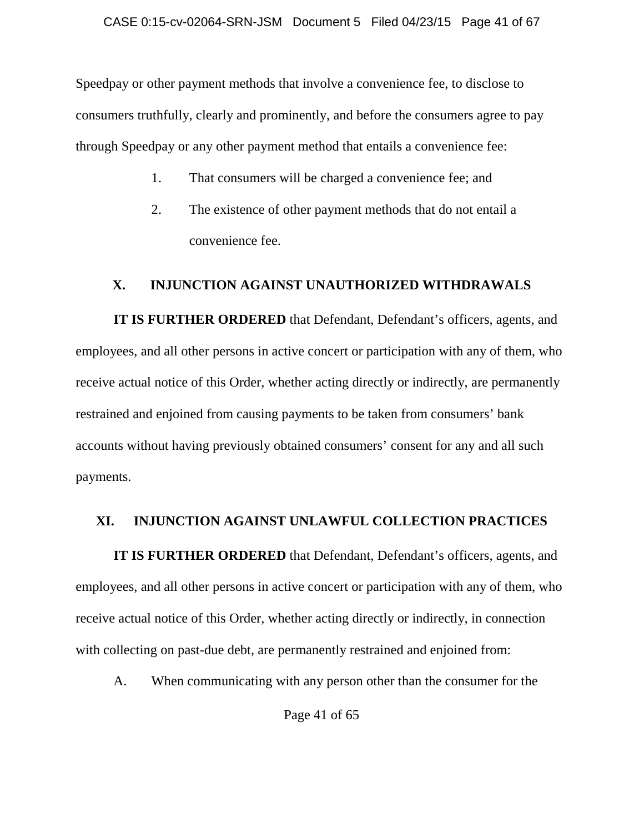Speedpay or other payment methods that involve a convenience fee, to disclose to consumers truthfully, clearly and prominently, and before the consumers agree to pay through Speedpay or any other payment method that entails a convenience fee:

- 1. That consumers will be charged a convenience fee; and
- 2. The existence of other payment methods that do not entail a convenience fee.

## **X. INJUNCTION AGAINST UNAUTHORIZED WITHDRAWALS**

**IT IS FURTHER ORDERED** that Defendant, Defendant's officers, agents, and employees, and all other persons in active concert or participation with any of them, who receive actual notice of this Order, whether acting directly or indirectly, are permanently restrained and enjoined from causing payments to be taken from consumers' bank accounts without having previously obtained consumers' consent for any and all such payments.

# **XI. INJUNCTION AGAINST UNLAWFUL COLLECTION PRACTICES**

**IT IS FURTHER ORDERED** that Defendant, Defendant's officers, agents, and employees, and all other persons in active concert or participation with any of them, who receive actual notice of this Order, whether acting directly or indirectly, in connection with collecting on past-due debt, are permanently restrained and enjoined from:

A. When communicating with any person other than the consumer for the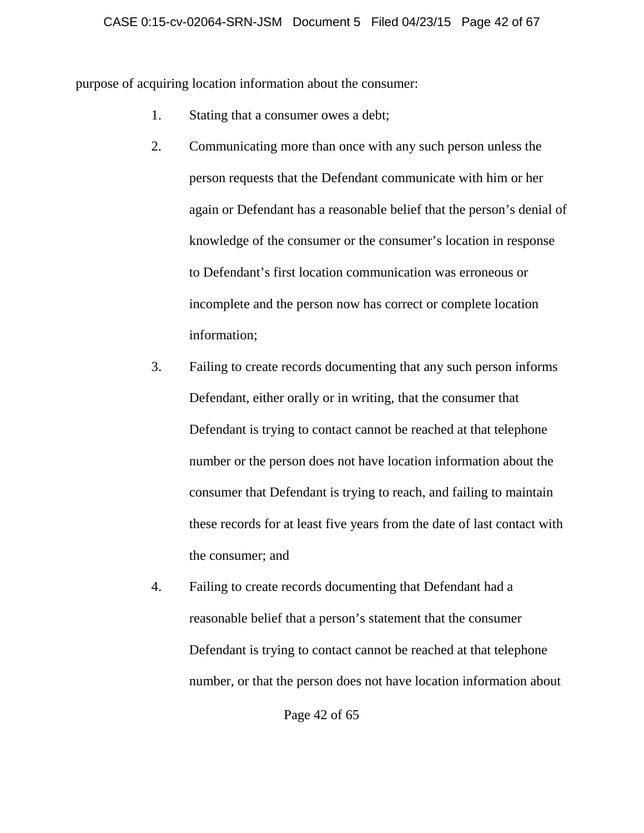purpose of acquiring location information about the consumer:

- 1. Stating that a consumer owes a debt;
- 2. Communicating more than once with any such person unless the person requests that the Defendant communicate with him or her again or Defendant has a reasonable belief that the person's denial of knowledge of the consumer or the consumer's location in response to Defendant's first location communication was erroneous or incomplete and the person now has correct or complete location information;
- 3. Failing to create records documenting that any such person informs Defendant, either orally or in writing, that the consumer that Defendant is trying to contact cannot be reached at that telephone number or the person does not have location information about the consumer that Defendant is trying to reach, and failing to maintain these records for at least five years from the date of last contact with the consumer; and
- 4. Failing to create records documenting that Defendant had a reasonable belief that a person's statement that the consumer Defendant is trying to contact cannot be reached at that telephone number, or that the person does not have location information about

Page 42 of 65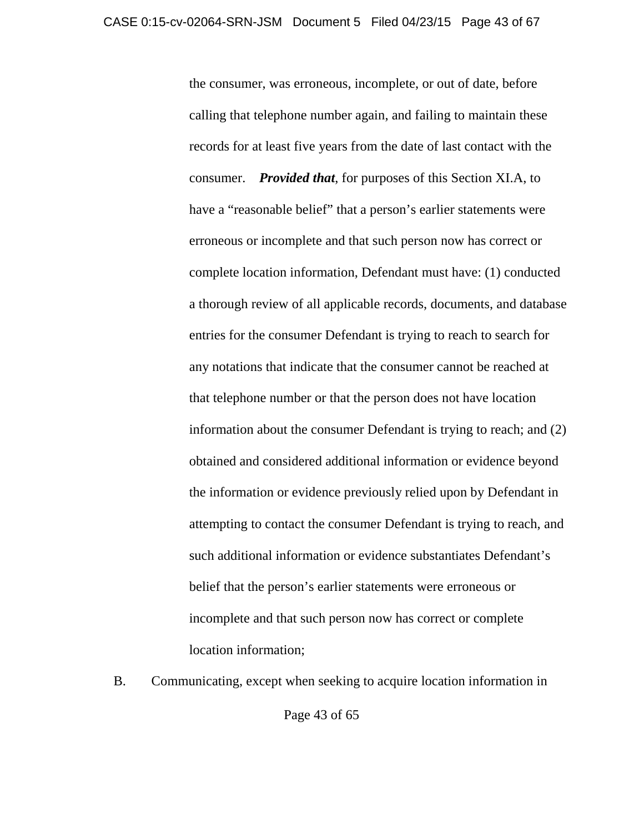the consumer, was erroneous, incomplete, or out of date, before calling that telephone number again, and failing to maintain these records for at least five years from the date of last contact with the consumer. *Provided that*, for purposes of this Section XI.A, to have a "reasonable belief" that a person's earlier statements were erroneous or incomplete and that such person now has correct or complete location information, Defendant must have: (1) conducted a thorough review of all applicable records, documents, and database entries for the consumer Defendant is trying to reach to search for any notations that indicate that the consumer cannot be reached at that telephone number or that the person does not have location information about the consumer Defendant is trying to reach; and (2) obtained and considered additional information or evidence beyond the information or evidence previously relied upon by Defendant in attempting to contact the consumer Defendant is trying to reach, and such additional information or evidence substantiates Defendant's belief that the person's earlier statements were erroneous or incomplete and that such person now has correct or complete location information;

B. Communicating, except when seeking to acquire location information in

Page 43 of 65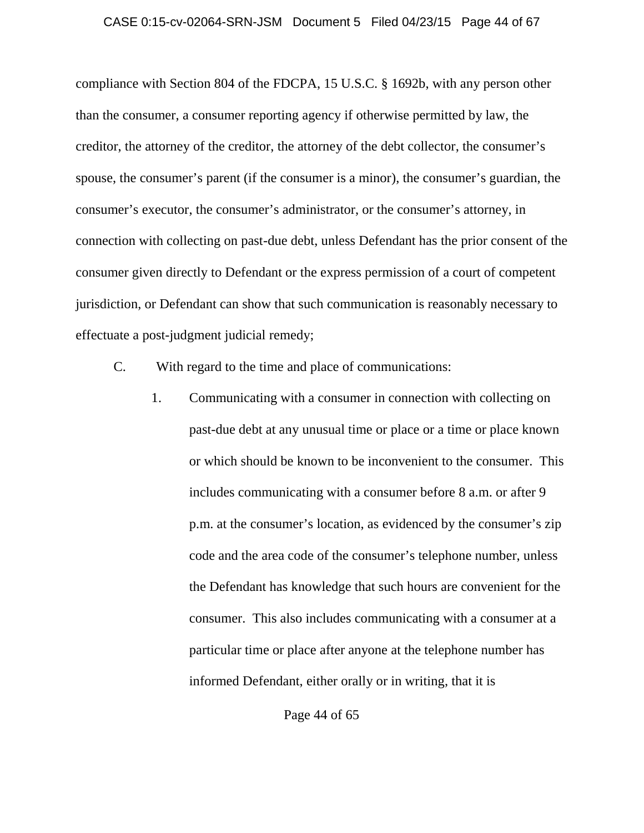#### CASE 0:15-cv-02064-SRN-JSM Document 5 Filed 04/23/15 Page 44 of 67

compliance with Section 804 of the FDCPA, 15 U.S.C. § 1692b, with any person other than the consumer, a consumer reporting agency if otherwise permitted by law, the creditor, the attorney of the creditor, the attorney of the debt collector, the consumer's spouse, the consumer's parent (if the consumer is a minor), the consumer's guardian, the consumer's executor, the consumer's administrator, or the consumer's attorney, in connection with collecting on past-due debt, unless Defendant has the prior consent of the consumer given directly to Defendant or the express permission of a court of competent jurisdiction, or Defendant can show that such communication is reasonably necessary to effectuate a post-judgment judicial remedy;

- C. With regard to the time and place of communications:
	- 1. Communicating with a consumer in connection with collecting on past-due debt at any unusual time or place or a time or place known or which should be known to be inconvenient to the consumer. This includes communicating with a consumer before 8 a.m. or after 9 p.m. at the consumer's location, as evidenced by the consumer's zip code and the area code of the consumer's telephone number, unless the Defendant has knowledge that such hours are convenient for the consumer. This also includes communicating with a consumer at a particular time or place after anyone at the telephone number has informed Defendant, either orally or in writing, that it is

Page 44 of 65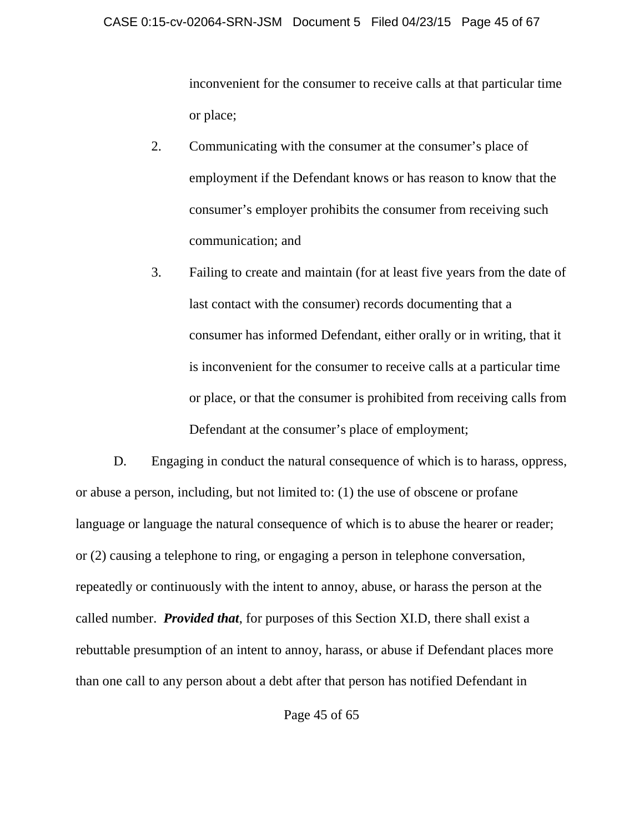inconvenient for the consumer to receive calls at that particular time or place;

- 2. Communicating with the consumer at the consumer's place of employment if the Defendant knows or has reason to know that the consumer's employer prohibits the consumer from receiving such communication; and
- 3. Failing to create and maintain (for at least five years from the date of last contact with the consumer) records documenting that a consumer has informed Defendant, either orally or in writing, that it is inconvenient for the consumer to receive calls at a particular time or place, or that the consumer is prohibited from receiving calls from Defendant at the consumer's place of employment;

D. Engaging in conduct the natural consequence of which is to harass, oppress, or abuse a person, including, but not limited to: (1) the use of obscene or profane language or language the natural consequence of which is to abuse the hearer or reader; or (2) causing a telephone to ring, or engaging a person in telephone conversation, repeatedly or continuously with the intent to annoy, abuse, or harass the person at the called number. *Provided that*, for purposes of this Section XI.D, there shall exist a rebuttable presumption of an intent to annoy, harass, or abuse if Defendant places more than one call to any person about a debt after that person has notified Defendant in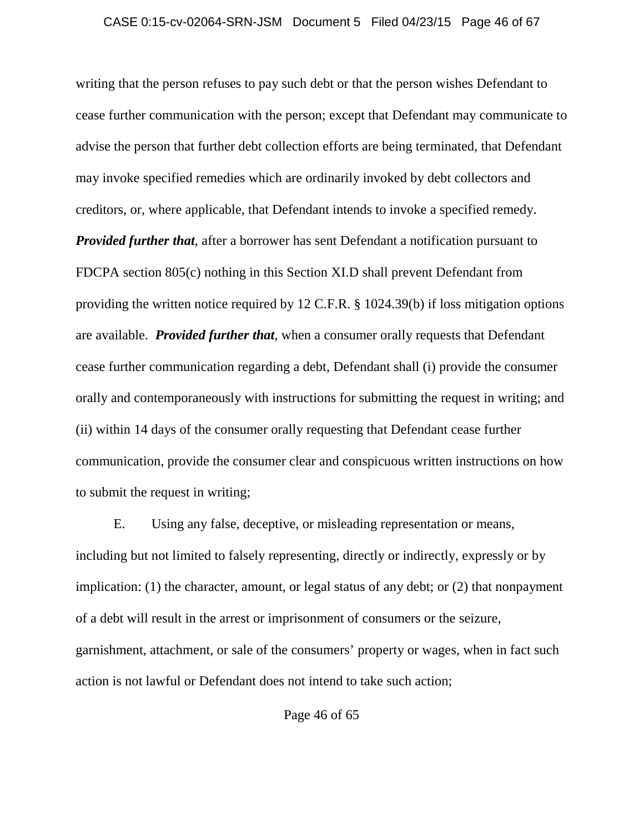writing that the person refuses to pay such debt or that the person wishes Defendant to cease further communication with the person; except that Defendant may communicate to advise the person that further debt collection efforts are being terminated, that Defendant may invoke specified remedies which are ordinarily invoked by debt collectors and creditors, or, where applicable, that Defendant intends to invoke a specified remedy. *Provided further that*, after a borrower has sent Defendant a notification pursuant to FDCPA section 805(c) nothing in this Section XI.D shall prevent Defendant from providing the written notice required by 12 C.F.R. § 1024.39(b) if loss mitigation options are available. *Provided further that*, when a consumer orally requests that Defendant cease further communication regarding a debt, Defendant shall (i) provide the consumer orally and contemporaneously with instructions for submitting the request in writing; and (ii) within 14 days of the consumer orally requesting that Defendant cease further communication, provide the consumer clear and conspicuous written instructions on how to submit the request in writing;

E. Using any false, deceptive, or misleading representation or means, including but not limited to falsely representing, directly or indirectly, expressly or by implication: (1) the character, amount, or legal status of any debt; or (2) that nonpayment of a debt will result in the arrest or imprisonment of consumers or the seizure, garnishment, attachment, or sale of the consumers' property or wages, when in fact such action is not lawful or Defendant does not intend to take such action;

Page 46 of 65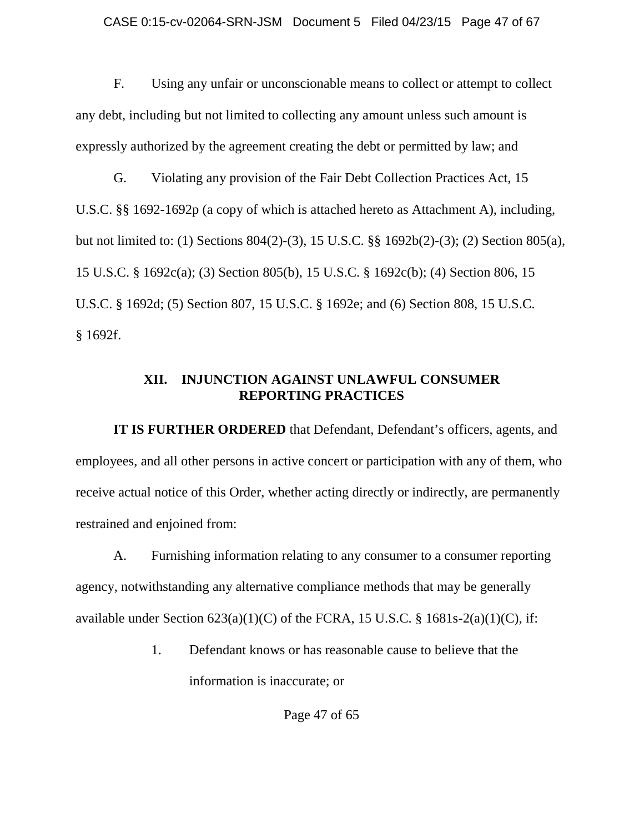F. Using any unfair or unconscionable means to collect or attempt to collect any debt, including but not limited to collecting any amount unless such amount is expressly authorized by the agreement creating the debt or permitted by law; and

G. Violating any provision of the Fair Debt Collection Practices Act, 15 U.S.C. §§ 1692-1692p (a copy of which is attached hereto as Attachment A), including, but not limited to: (1) Sections 804(2)-(3), 15 U.S.C. §§ 1692b(2)-(3); (2) Section 805(a), 15 U.S.C. § 1692c(a); (3) Section 805(b), 15 U.S.C. § 1692c(b); (4) Section 806, 15 U.S.C. § 1692d; (5) Section 807, 15 U.S.C. § 1692e; and (6) Section 808, 15 U.S.C. § 1692f.

## **XII. INJUNCTION AGAINST UNLAWFUL CONSUMER REPORTING PRACTICES**

**IT IS FURTHER ORDERED** that Defendant, Defendant's officers, agents, and employees, and all other persons in active concert or participation with any of them, who receive actual notice of this Order, whether acting directly or indirectly, are permanently restrained and enjoined from:

A. Furnishing information relating to any consumer to a consumer reporting agency, notwithstanding any alternative compliance methods that may be generally available under Section  $623(a)(1)(C)$  of the FCRA, 15 U.S.C. § 1681s-2(a)(1)(C), if:

> 1. Defendant knows or has reasonable cause to believe that the information is inaccurate; or

> > Page 47 of 65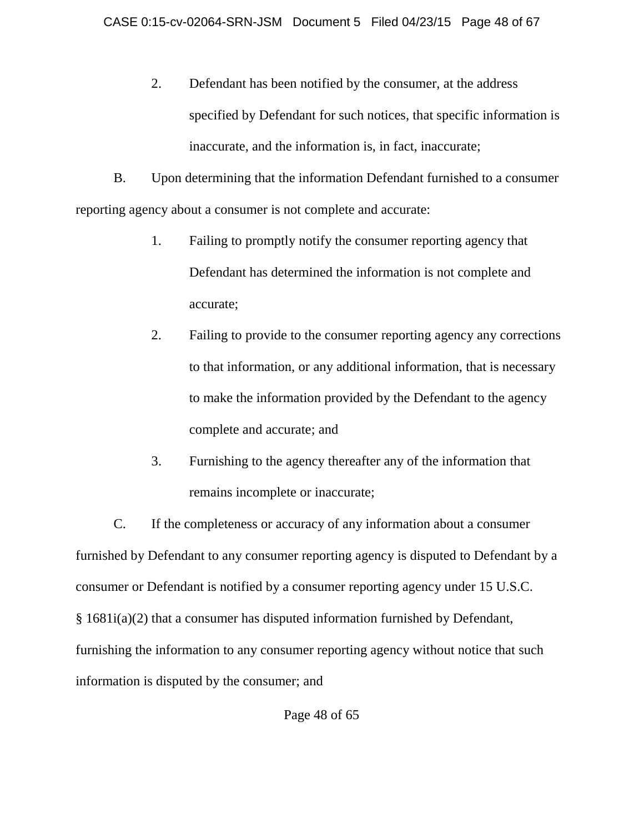2. Defendant has been notified by the consumer, at the address specified by Defendant for such notices, that specific information is inaccurate, and the information is, in fact, inaccurate;

B. Upon determining that the information Defendant furnished to a consumer reporting agency about a consumer is not complete and accurate:

- 1. Failing to promptly notify the consumer reporting agency that Defendant has determined the information is not complete and accurate;
- 2. Failing to provide to the consumer reporting agency any corrections to that information, or any additional information, that is necessary to make the information provided by the Defendant to the agency complete and accurate; and
- 3. Furnishing to the agency thereafter any of the information that remains incomplete or inaccurate;

C. If the completeness or accuracy of any information about a consumer furnished by Defendant to any consumer reporting agency is disputed to Defendant by a consumer or Defendant is notified by a consumer reporting agency under 15 U.S.C. § 1681i(a)(2) that a consumer has disputed information furnished by Defendant, furnishing the information to any consumer reporting agency without notice that such information is disputed by the consumer; and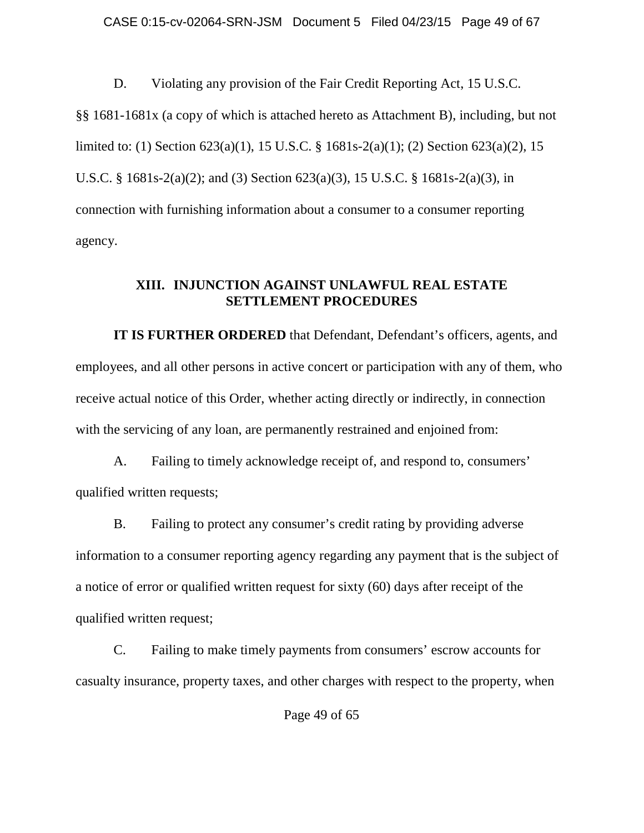D. Violating any provision of the Fair Credit Reporting Act, 15 U.S.C. §§ 1681-1681x (a copy of which is attached hereto as Attachment B), including, but not limited to: (1) Section 623(a)(1), 15 U.S.C. § 1681s-2(a)(1); (2) Section 623(a)(2), 15 U.S.C. § 1681s-2(a)(2); and (3) Section 623(a)(3), 15 U.S.C. § 1681s-2(a)(3), in connection with furnishing information about a consumer to a consumer reporting agency.

# **XIII. INJUNCTION AGAINST UNLAWFUL REAL ESTATE SETTLEMENT PROCEDURES**

**IT IS FURTHER ORDERED** that Defendant, Defendant's officers, agents, and employees, and all other persons in active concert or participation with any of them, who receive actual notice of this Order, whether acting directly or indirectly, in connection with the servicing of any loan, are permanently restrained and enjoined from:

A. Failing to timely acknowledge receipt of, and respond to, consumers' qualified written requests;

B. Failing to protect any consumer's credit rating by providing adverse information to a consumer reporting agency regarding any payment that is the subject of a notice of error or qualified written request for sixty (60) days after receipt of the qualified written request;

C. Failing to make timely payments from consumers' escrow accounts for casualty insurance, property taxes, and other charges with respect to the property, when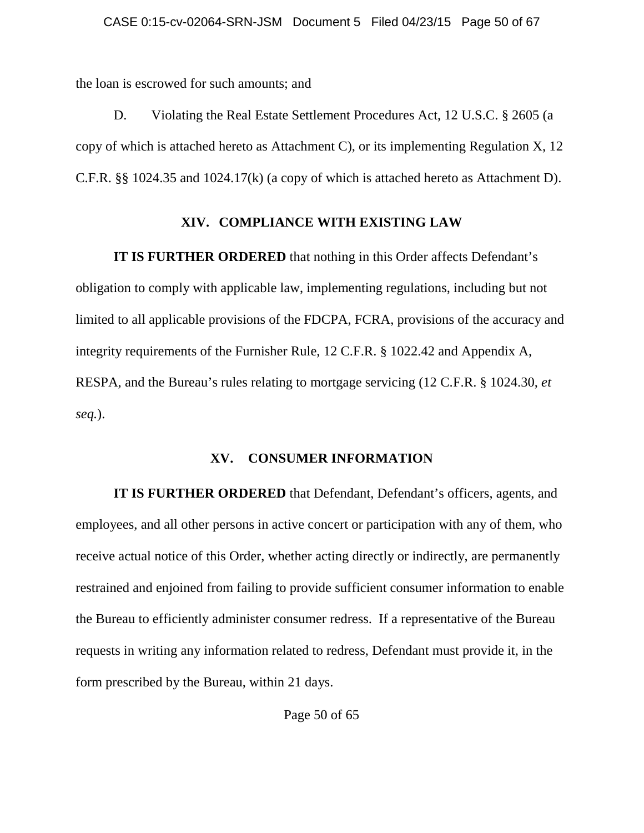the loan is escrowed for such amounts; and

D. Violating the Real Estate Settlement Procedures Act, 12 U.S.C. § 2605 (a copy of which is attached hereto as Attachment C), or its implementing Regulation X, 12 C.F.R. §§ 1024.35 and 1024.17(k) (a copy of which is attached hereto as Attachment D).

# **XIV. COMPLIANCE WITH EXISTING LAW**

**IT IS FURTHER ORDERED** that nothing in this Order affects Defendant's obligation to comply with applicable law, implementing regulations, including but not limited to all applicable provisions of the FDCPA, FCRA, provisions of the accuracy and integrity requirements of the Furnisher Rule, 12 C.F.R. § 1022.42 and Appendix A, RESPA, and the Bureau's rules relating to mortgage servicing (12 C.F.R. § 1024.30, *et seq.*).

### **XV. CONSUMER INFORMATION**

**IT IS FURTHER ORDERED** that Defendant, Defendant's officers, agents, and employees, and all other persons in active concert or participation with any of them, who receive actual notice of this Order, whether acting directly or indirectly, are permanently restrained and enjoined from failing to provide sufficient consumer information to enable the Bureau to efficiently administer consumer redress. If a representative of the Bureau requests in writing any information related to redress, Defendant must provide it, in the form prescribed by the Bureau, within 21 days.

Page 50 of 65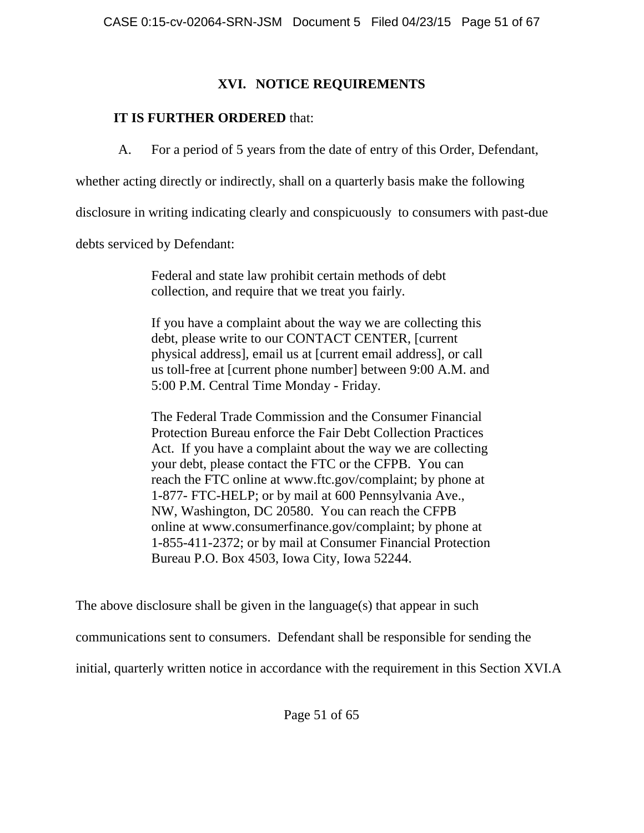# **XVI. NOTICE REQUIREMENTS**

# **IT IS FURTHER ORDERED** that:

A. For a period of 5 years from the date of entry of this Order, Defendant,

whether acting directly or indirectly, shall on a quarterly basis make the following

disclosure in writing indicating clearly and conspicuously to consumers with past-due

debts serviced by Defendant:

Federal and state law prohibit certain methods of debt collection, and require that we treat you fairly.

If you have a complaint about the way we are collecting this debt, please write to our CONTACT CENTER, [current physical address], email us at [current email address], or call us toll-free at [current phone number] between 9:00 A.M. and 5:00 P.M. Central Time Monday - Friday.

The Federal Trade Commission and the Consumer Financial Protection Bureau enforce the Fair Debt Collection Practices Act. If you have a complaint about the way we are collecting your debt, please contact the FTC or the CFPB. You can reach the FTC online at www.ftc.gov/complaint; by phone at 1-877- FTC-HELP; or by mail at 600 Pennsylvania Ave., NW, Washington, DC 20580. You can reach the CFPB online at www.consumerfinance.gov/complaint; by phone at 1-855-411-2372; or by mail at Consumer Financial Protection Bureau P.O. Box 4503, Iowa City, Iowa 52244.

The above disclosure shall be given in the language(s) that appear in such

communications sent to consumers. Defendant shall be responsible for sending the

initial, quarterly written notice in accordance with the requirement in this Section XVI.A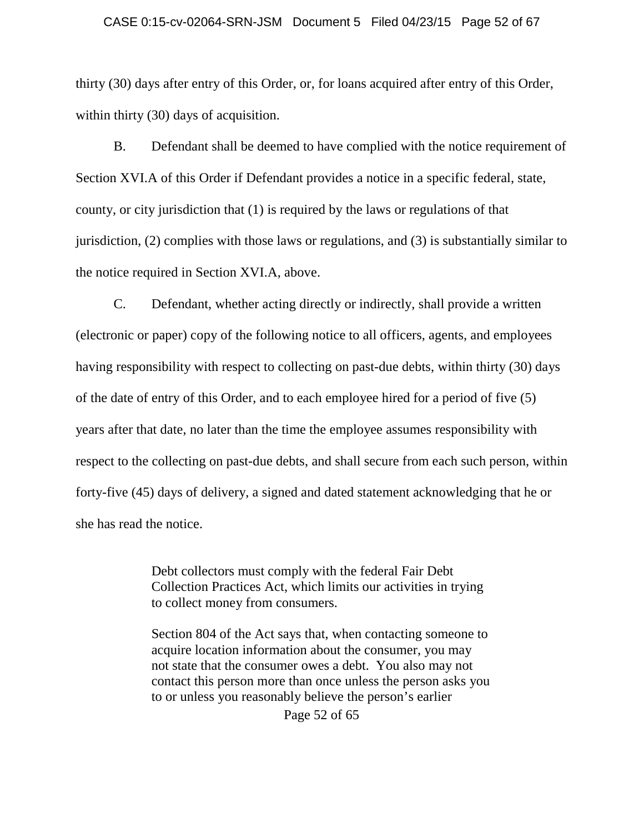#### CASE 0:15-cv-02064-SRN-JSM Document 5 Filed 04/23/15 Page 52 of 67

thirty (30) days after entry of this Order, or, for loans acquired after entry of this Order, within thirty (30) days of acquisition.

B. Defendant shall be deemed to have complied with the notice requirement of Section XVI.A of this Order if Defendant provides a notice in a specific federal, state, county, or city jurisdiction that (1) is required by the laws or regulations of that jurisdiction, (2) complies with those laws or regulations, and (3) is substantially similar to the notice required in Section XVI.A, above.

C. Defendant, whether acting directly or indirectly, shall provide a written (electronic or paper) copy of the following notice to all officers, agents, and employees having responsibility with respect to collecting on past-due debts, within thirty (30) days of the date of entry of this Order, and to each employee hired for a period of five (5) years after that date, no later than the time the employee assumes responsibility with respect to the collecting on past-due debts, and shall secure from each such person, within forty-five (45) days of delivery, a signed and dated statement acknowledging that he or she has read the notice.

> Debt collectors must comply with the federal Fair Debt Collection Practices Act, which limits our activities in trying to collect money from consumers.

Section 804 of the Act says that, when contacting someone to acquire location information about the consumer, you may not state that the consumer owes a debt. You also may not contact this person more than once unless the person asks you to or unless you reasonably believe the person's earlier

Page 52 of 65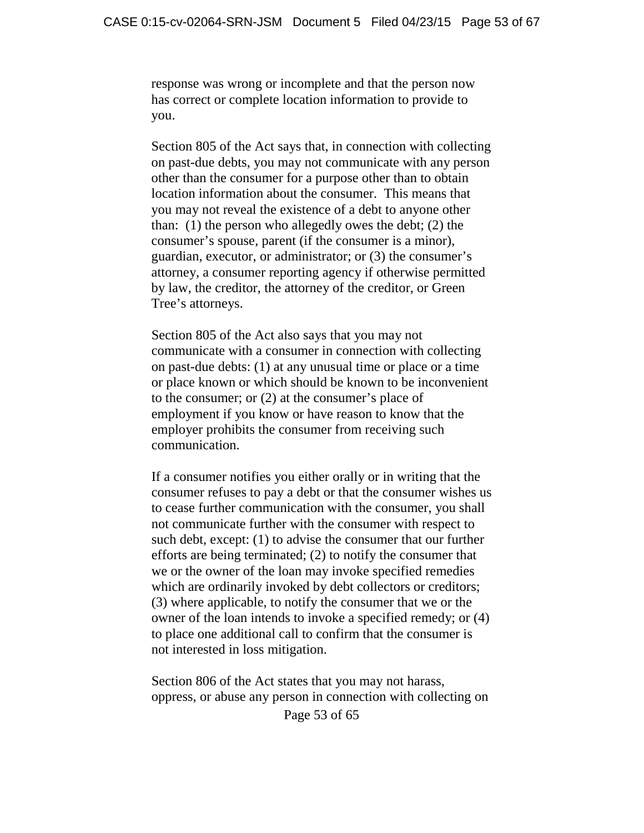response was wrong or incomplete and that the person now has correct or complete location information to provide to you.

Section 805 of the Act says that, in connection with collecting on past-due debts, you may not communicate with any person other than the consumer for a purpose other than to obtain location information about the consumer. This means that you may not reveal the existence of a debt to anyone other than: (1) the person who allegedly owes the debt; (2) the consumer's spouse, parent (if the consumer is a minor), guardian, executor, or administrator; or (3) the consumer's attorney, a consumer reporting agency if otherwise permitted by law, the creditor, the attorney of the creditor, or Green Tree's attorneys.

Section 805 of the Act also says that you may not communicate with a consumer in connection with collecting on past-due debts: (1) at any unusual time or place or a time or place known or which should be known to be inconvenient to the consumer; or (2) at the consumer's place of employment if you know or have reason to know that the employer prohibits the consumer from receiving such communication.

If a consumer notifies you either orally or in writing that the consumer refuses to pay a debt or that the consumer wishes us to cease further communication with the consumer, you shall not communicate further with the consumer with respect to such debt, except: (1) to advise the consumer that our further efforts are being terminated; (2) to notify the consumer that we or the owner of the loan may invoke specified remedies which are ordinarily invoked by debt collectors or creditors; (3) where applicable, to notify the consumer that we or the owner of the loan intends to invoke a specified remedy; or (4) to place one additional call to confirm that the consumer is not interested in loss mitigation.

Page 53 of 65 Section 806 of the Act states that you may not harass, oppress, or abuse any person in connection with collecting on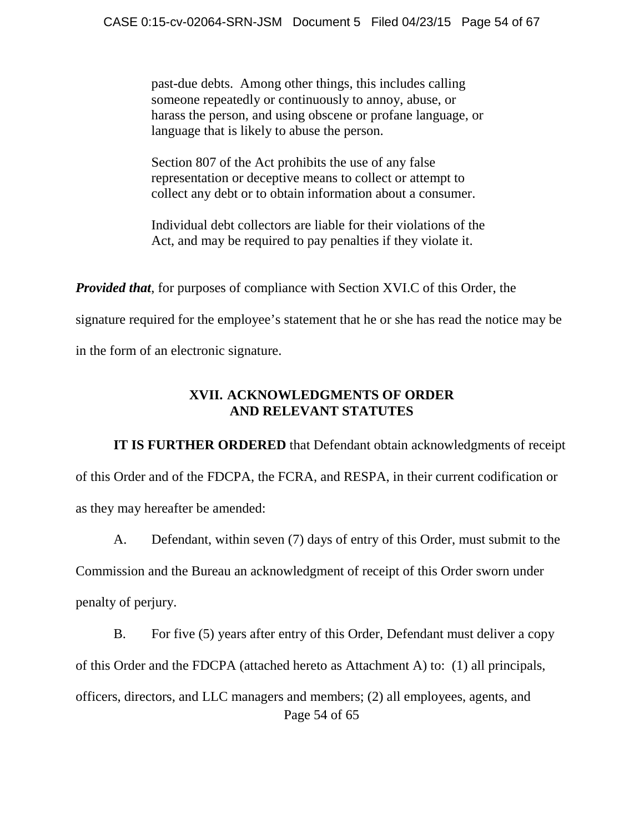past-due debts. Among other things, this includes calling someone repeatedly or continuously to annoy, abuse, or harass the person, and using obscene or profane language, or language that is likely to abuse the person.

Section 807 of the Act prohibits the use of any false representation or deceptive means to collect or attempt to collect any debt or to obtain information about a consumer.

Individual debt collectors are liable for their violations of the Act, and may be required to pay penalties if they violate it.

*Provided that*, for purposes of compliance with Section XVI.C of this Order, the

signature required for the employee's statement that he or she has read the notice may be

in the form of an electronic signature.

# **XVII. ACKNOWLEDGMENTS OF ORDER AND RELEVANT STATUTES**

**IT IS FURTHER ORDERED** that Defendant obtain acknowledgments of receipt of this Order and of the FDCPA, the FCRA, and RESPA, in their current codification or as they may hereafter be amended:

A. Defendant, within seven (7) days of entry of this Order, must submit to the Commission and the Bureau an acknowledgment of receipt of this Order sworn under penalty of perjury.

Page 54 of 65 B. For five (5) years after entry of this Order, Defendant must deliver a copy of this Order and the FDCPA (attached hereto as Attachment A) to: (1) all principals, officers, directors, and LLC managers and members; (2) all employees, agents, and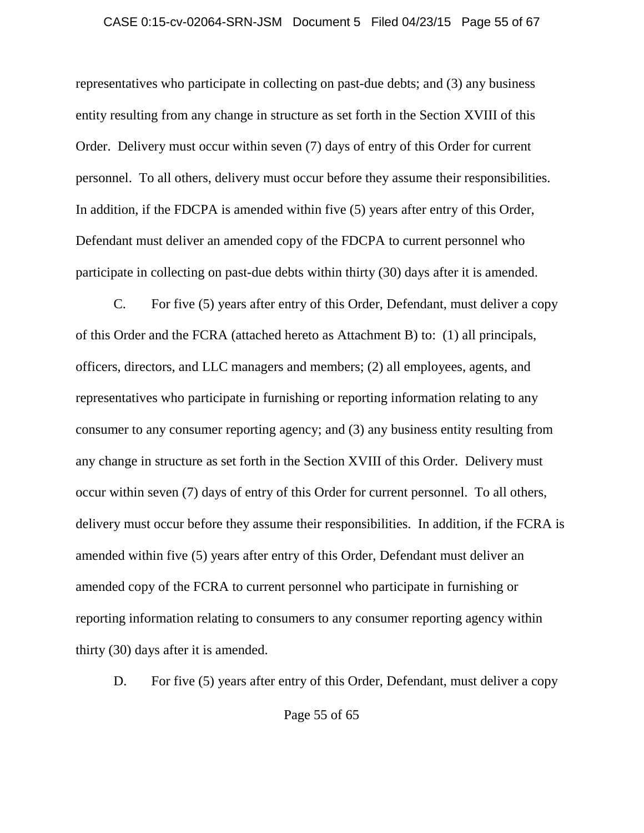### CASE 0:15-cv-02064-SRN-JSM Document 5 Filed 04/23/15 Page 55 of 67

representatives who participate in collecting on past-due debts; and (3) any business entity resulting from any change in structure as set forth in the Section XVIII of this Order. Delivery must occur within seven (7) days of entry of this Order for current personnel. To all others, delivery must occur before they assume their responsibilities. In addition, if the FDCPA is amended within five (5) years after entry of this Order, Defendant must deliver an amended copy of the FDCPA to current personnel who participate in collecting on past-due debts within thirty (30) days after it is amended.

C. For five (5) years after entry of this Order, Defendant, must deliver a copy of this Order and the FCRA (attached hereto as Attachment B) to: (1) all principals, officers, directors, and LLC managers and members; (2) all employees, agents, and representatives who participate in furnishing or reporting information relating to any consumer to any consumer reporting agency; and (3) any business entity resulting from any change in structure as set forth in the Section XVIII of this Order. Delivery must occur within seven (7) days of entry of this Order for current personnel. To all others, delivery must occur before they assume their responsibilities. In addition, if the FCRA is amended within five (5) years after entry of this Order, Defendant must deliver an amended copy of the FCRA to current personnel who participate in furnishing or reporting information relating to consumers to any consumer reporting agency within thirty (30) days after it is amended.

D. For five (5) years after entry of this Order, Defendant, must deliver a copy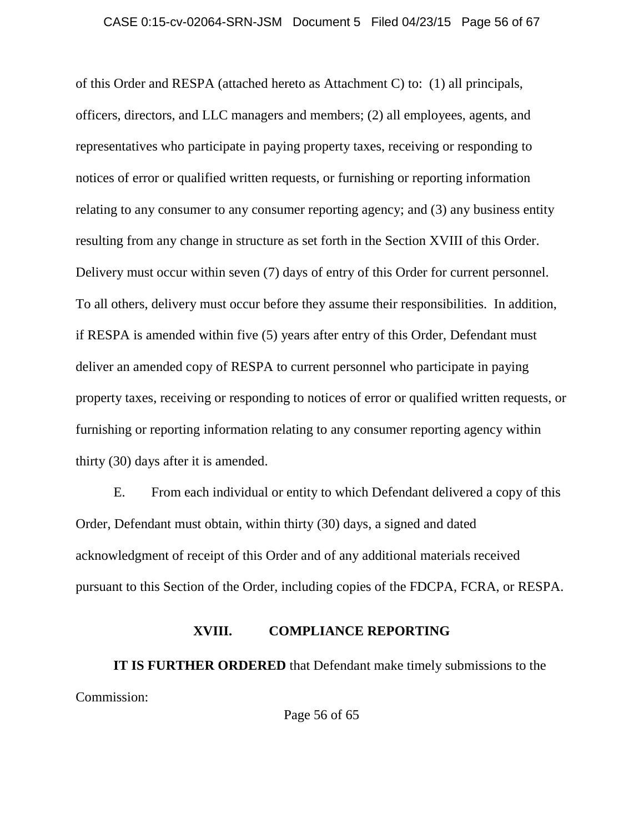of this Order and RESPA (attached hereto as Attachment C) to: (1) all principals, officers, directors, and LLC managers and members; (2) all employees, agents, and representatives who participate in paying property taxes, receiving or responding to notices of error or qualified written requests, or furnishing or reporting information relating to any consumer to any consumer reporting agency; and (3) any business entity resulting from any change in structure as set forth in the Section XVIII of this Order. Delivery must occur within seven (7) days of entry of this Order for current personnel. To all others, delivery must occur before they assume their responsibilities. In addition, if RESPA is amended within five (5) years after entry of this Order, Defendant must deliver an amended copy of RESPA to current personnel who participate in paying property taxes, receiving or responding to notices of error or qualified written requests, or furnishing or reporting information relating to any consumer reporting agency within thirty (30) days after it is amended.

E. From each individual or entity to which Defendant delivered a copy of this Order, Defendant must obtain, within thirty (30) days, a signed and dated acknowledgment of receipt of this Order and of any additional materials received pursuant to this Section of the Order, including copies of the FDCPA, FCRA, or RESPA.

### **XVIII. COMPLIANCE REPORTING**

**IT IS FURTHER ORDERED** that Defendant make timely submissions to the Commission:

Page 56 of 65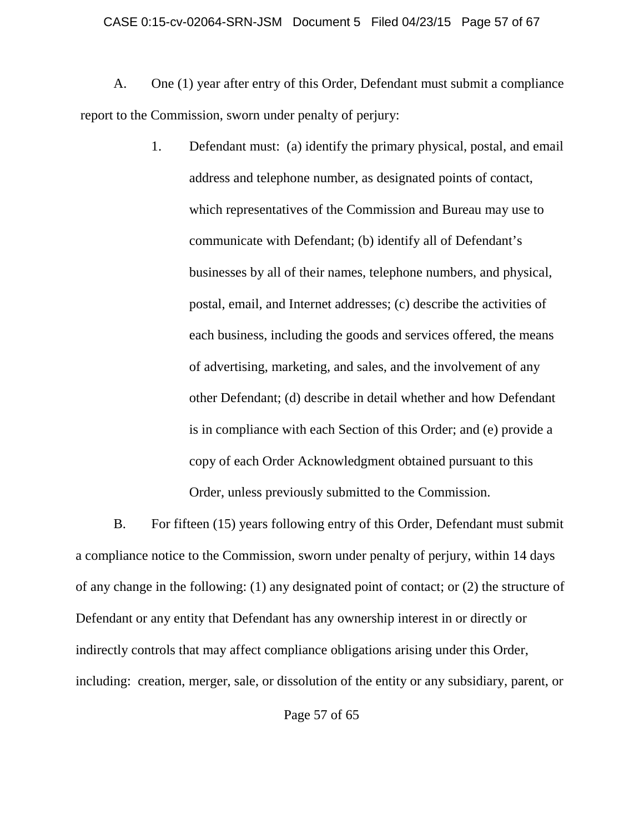#### CASE 0:15-cv-02064-SRN-JSM Document 5 Filed 04/23/15 Page 57 of 67

A. One (1) year after entry of this Order, Defendant must submit a compliance report to the Commission, sworn under penalty of perjury:

> 1. Defendant must: (a) identify the primary physical, postal, and email address and telephone number, as designated points of contact, which representatives of the Commission and Bureau may use to communicate with Defendant; (b) identify all of Defendant's businesses by all of their names, telephone numbers, and physical, postal, email, and Internet addresses; (c) describe the activities of each business, including the goods and services offered, the means of advertising, marketing, and sales, and the involvement of any other Defendant; (d) describe in detail whether and how Defendant is in compliance with each Section of this Order; and (e) provide a copy of each Order Acknowledgment obtained pursuant to this Order, unless previously submitted to the Commission.

B. For fifteen (15) years following entry of this Order, Defendant must submit a compliance notice to the Commission, sworn under penalty of perjury, within 14 days of any change in the following: (1) any designated point of contact; or (2) the structure of Defendant or any entity that Defendant has any ownership interest in or directly or indirectly controls that may affect compliance obligations arising under this Order, including: creation, merger, sale, or dissolution of the entity or any subsidiary, parent, or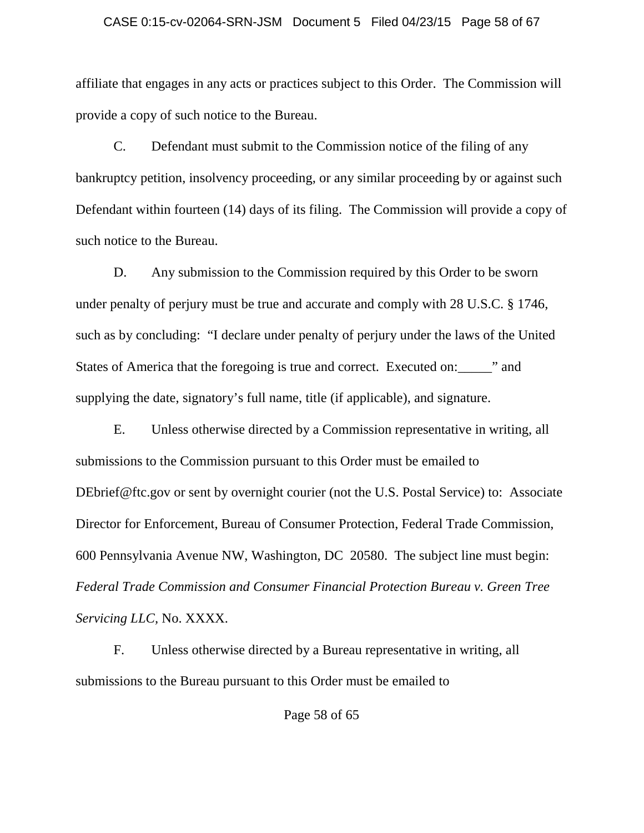#### CASE 0:15-cv-02064-SRN-JSM Document 5 Filed 04/23/15 Page 58 of 67

affiliate that engages in any acts or practices subject to this Order. The Commission will provide a copy of such notice to the Bureau.

C. Defendant must submit to the Commission notice of the filing of any bankruptcy petition, insolvency proceeding, or any similar proceeding by or against such Defendant within fourteen (14) days of its filing. The Commission will provide a copy of such notice to the Bureau.

D. Any submission to the Commission required by this Order to be sworn under penalty of perjury must be true and accurate and comply with 28 U.S.C. § 1746, such as by concluding: "I declare under penalty of perjury under the laws of the United States of America that the foregoing is true and correct. Executed on:\_\_\_\_\_" and supplying the date, signatory's full name, title (if applicable), and signature.

E. Unless otherwise directed by a Commission representative in writing, all submissions to the Commission pursuant to this Order must be emailed to DEbrief@ftc.gov or sent by overnight courier (not the U.S. Postal Service) to: Associate Director for Enforcement, Bureau of Consumer Protection, Federal Trade Commission, 600 Pennsylvania Avenue NW, Washington, DC 20580. The subject line must begin: *Federal Trade Commission and Consumer Financial Protection Bureau v. Green Tree Servicing LLC,* No. XXXX.

F. Unless otherwise directed by a Bureau representative in writing, all submissions to the Bureau pursuant to this Order must be emailed to

Page 58 of 65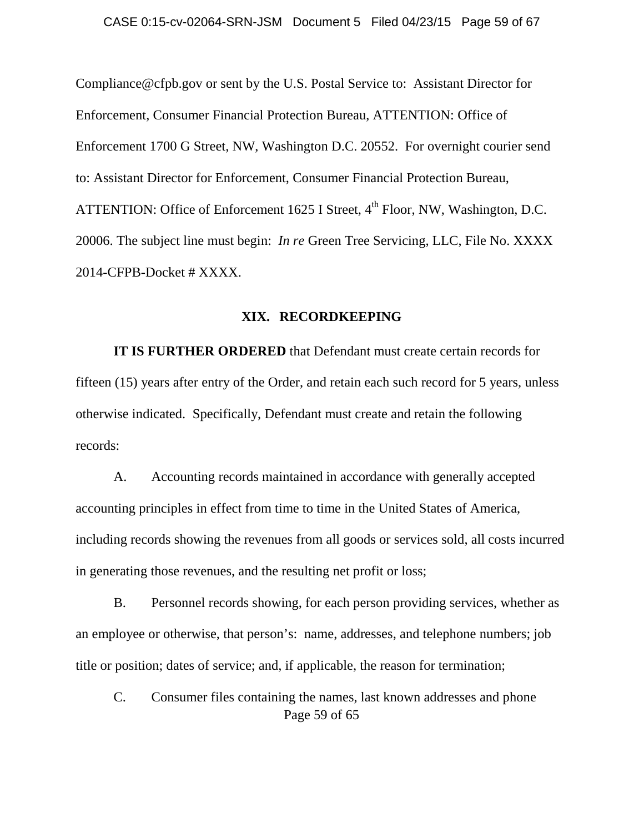Compliance@cfpb.gov or sent by the U.S. Postal Service to: Assistant Director for Enforcement, Consumer Financial Protection Bureau, ATTENTION: Office of Enforcement 1700 G Street, NW, Washington D.C. 20552. For overnight courier send to: Assistant Director for Enforcement, Consumer Financial Protection Bureau, ATTENTION: Office of Enforcement 1625 I Street,  $4^{th}$  Floor, NW, Washington, D.C. 20006. The subject line must begin: *In re* Green Tree Servicing, LLC, File No. XXXX 2014-CFPB-Docket # XXXX.

### **XIX. RECORDKEEPING**

**IT IS FURTHER ORDERED** that Defendant must create certain records for fifteen (15) years after entry of the Order, and retain each such record for 5 years, unless otherwise indicated. Specifically, Defendant must create and retain the following records:

A. Accounting records maintained in accordance with generally accepted accounting principles in effect from time to time in the United States of America, including records showing the revenues from all goods or services sold, all costs incurred in generating those revenues, and the resulting net profit or loss;

B. Personnel records showing, for each person providing services, whether as an employee or otherwise, that person's: name, addresses, and telephone numbers; job title or position; dates of service; and, if applicable, the reason for termination;

Page 59 of 65 C. Consumer files containing the names, last known addresses and phone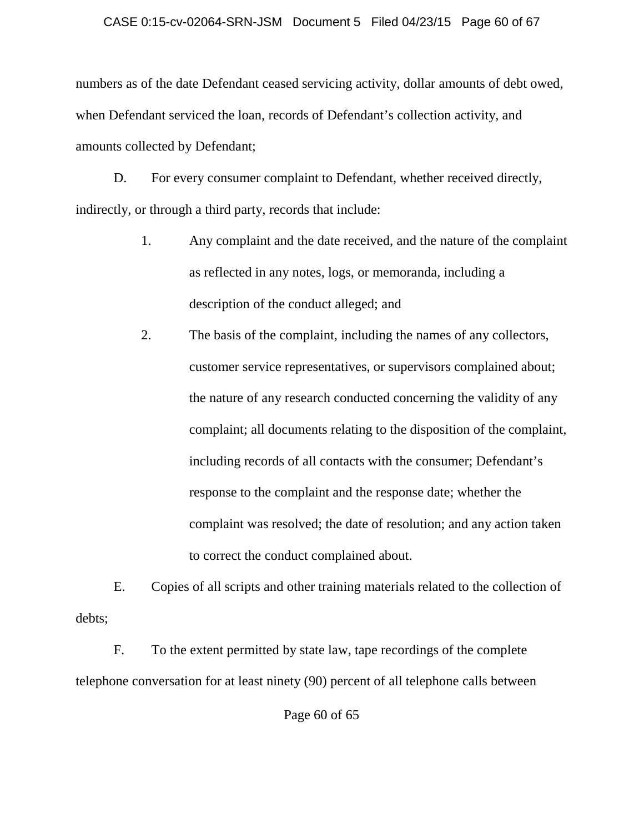### CASE 0:15-cv-02064-SRN-JSM Document 5 Filed 04/23/15 Page 60 of 67

numbers as of the date Defendant ceased servicing activity, dollar amounts of debt owed, when Defendant serviced the loan, records of Defendant's collection activity, and amounts collected by Defendant;

D. For every consumer complaint to Defendant, whether received directly, indirectly, or through a third party, records that include:

- 1. Any complaint and the date received, and the nature of the complaint as reflected in any notes, logs, or memoranda, including a description of the conduct alleged; and
- 2. The basis of the complaint, including the names of any collectors, customer service representatives, or supervisors complained about; the nature of any research conducted concerning the validity of any complaint; all documents relating to the disposition of the complaint, including records of all contacts with the consumer; Defendant's response to the complaint and the response date; whether the complaint was resolved; the date of resolution; and any action taken to correct the conduct complained about.

E. Copies of all scripts and other training materials related to the collection of debts;

F. To the extent permitted by state law, tape recordings of the complete telephone conversation for at least ninety (90) percent of all telephone calls between

Page 60 of 65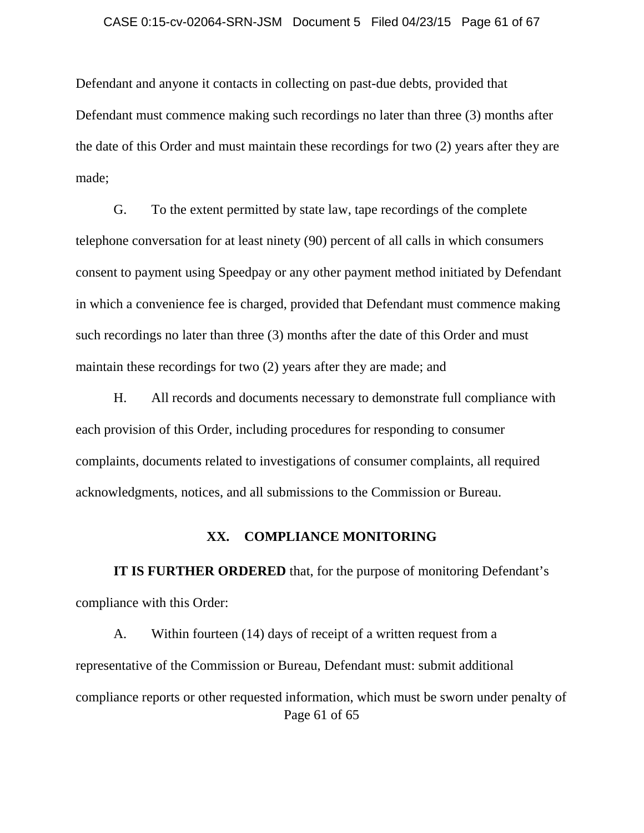#### CASE 0:15-cv-02064-SRN-JSM Document 5 Filed 04/23/15 Page 61 of 67

Defendant and anyone it contacts in collecting on past-due debts, provided that Defendant must commence making such recordings no later than three (3) months after the date of this Order and must maintain these recordings for two (2) years after they are made;

G. To the extent permitted by state law, tape recordings of the complete telephone conversation for at least ninety (90) percent of all calls in which consumers consent to payment using Speedpay or any other payment method initiated by Defendant in which a convenience fee is charged, provided that Defendant must commence making such recordings no later than three (3) months after the date of this Order and must maintain these recordings for two (2) years after they are made; and

H. All records and documents necessary to demonstrate full compliance with each provision of this Order, including procedures for responding to consumer complaints, documents related to investigations of consumer complaints, all required acknowledgments, notices, and all submissions to the Commission or Bureau.

### **XX. COMPLIANCE MONITORING**

**IT IS FURTHER ORDERED** that, for the purpose of monitoring Defendant's compliance with this Order:

Page 61 of 65 A. Within fourteen (14) days of receipt of a written request from a representative of the Commission or Bureau, Defendant must: submit additional compliance reports or other requested information, which must be sworn under penalty of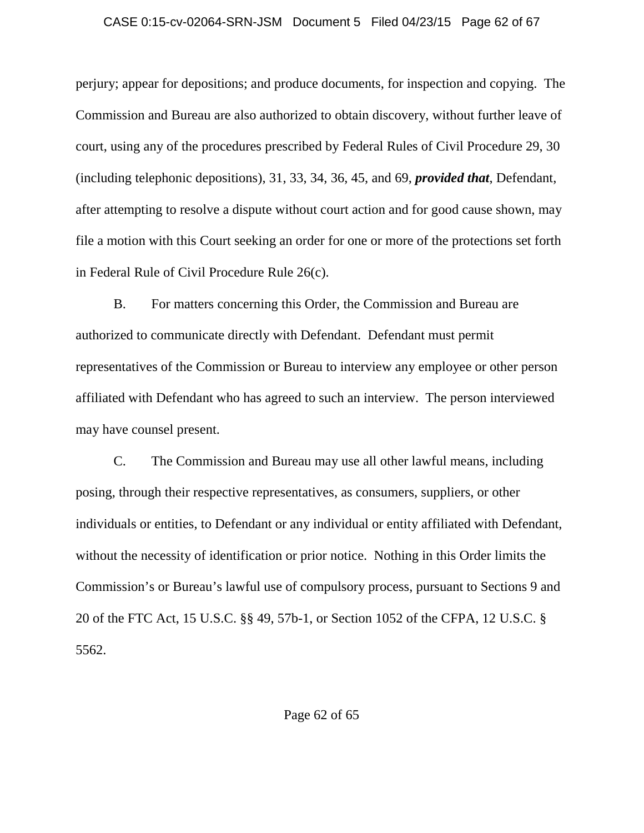### CASE 0:15-cv-02064-SRN-JSM Document 5 Filed 04/23/15 Page 62 of 67

perjury; appear for depositions; and produce documents, for inspection and copying. The Commission and Bureau are also authorized to obtain discovery, without further leave of court, using any of the procedures prescribed by Federal Rules of Civil Procedure 29, 30 (including telephonic depositions), 31, 33, 34, 36, 45, and 69, *provided that*, Defendant, after attempting to resolve a dispute without court action and for good cause shown, may file a motion with this Court seeking an order for one or more of the protections set forth in Federal Rule of Civil Procedure Rule 26(c).

B. For matters concerning this Order, the Commission and Bureau are authorized to communicate directly with Defendant. Defendant must permit representatives of the Commission or Bureau to interview any employee or other person affiliated with Defendant who has agreed to such an interview. The person interviewed may have counsel present.

C. The Commission and Bureau may use all other lawful means, including posing, through their respective representatives, as consumers, suppliers, or other individuals or entities, to Defendant or any individual or entity affiliated with Defendant, without the necessity of identification or prior notice. Nothing in this Order limits the Commission's or Bureau's lawful use of compulsory process, pursuant to Sections 9 and 20 of the FTC Act, 15 U.S.C. §§ 49, 57b-1, or Section 1052 of the CFPA, 12 U.S.C. § 5562.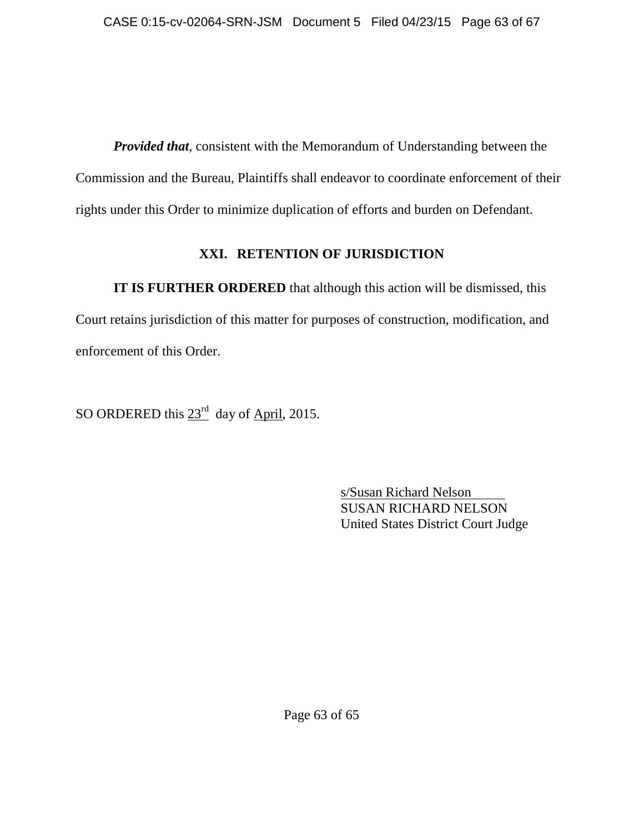*Provided that*, consistent with the Memorandum of Understanding between the Commission and the Bureau, Plaintiffs shall endeavor to coordinate enforcement of their rights under this Order to minimize duplication of efforts and burden on Defendant.

# **XXI. RETENTION OF JURISDICTION**

**IT IS FURTHER ORDERED** that although this action will be dismissed, this Court retains jurisdiction of this matter for purposes of construction, modification, and enforcement of this Order.

SO ORDERED this  $23<sup>rd</sup>$  day of April, 2015.

s/Susan Richard Nelson SUSAN RICHARD NELSON United States District Court Judge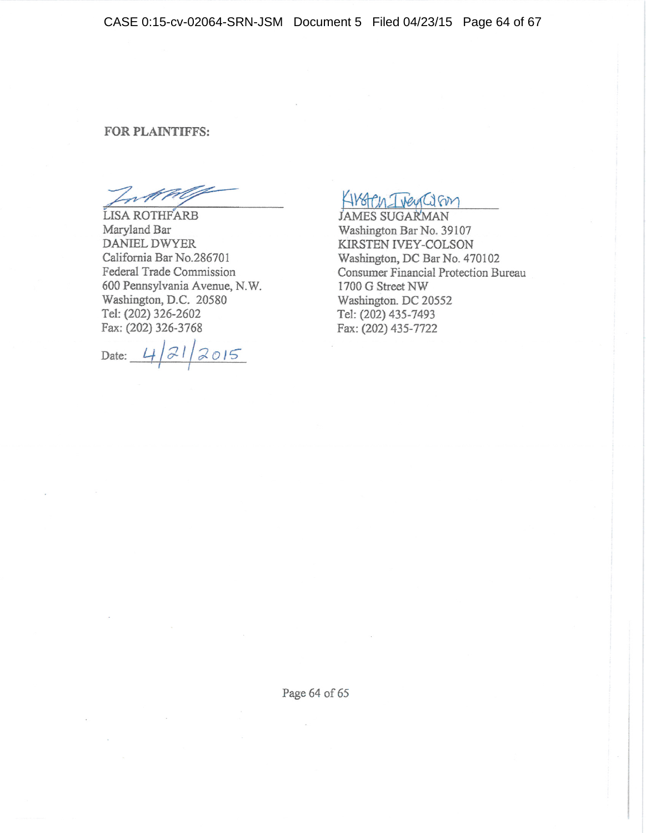CASE 0:15-cv-02064-SRN-JSM Document 5 Filed 04/23/15 Page 64 of 67

### FOR PLAINTIFFS:

Lotte

LISA ROTHFARB Maryland Bar **DANIEL DWYER** California Bar No.286701 Federal Trade Commission 600 Pennsylvania Avenue, N.W. Washington, D.C. 20580 Tel: (202) 326-2602 Fax: (202) 326-3768

Date:  $4/21/2015$ 

Albren Tren Com

**JAMES SUGARMAN** Washington Bar No. 39107 KIRSTEN IVEY-COLSON Washington, DC Bar No. 470102 Consumer Financial Protection Bureau 1700 G Street NW Washington. DC 20552 Tel: (202) 435-7493 Fax: (202) 435-7722

Page 64 of 65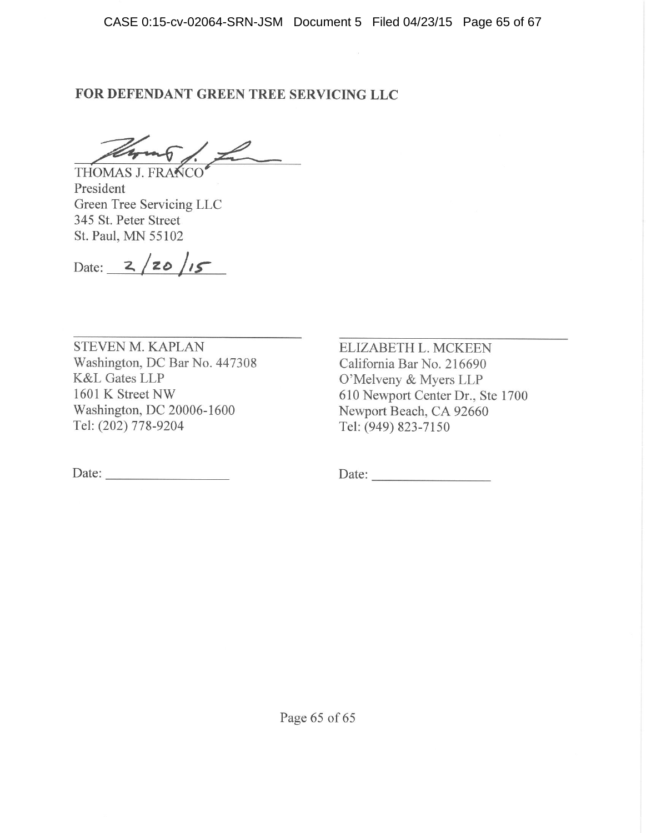# FOR DEFENDANT GREEN TREE SERVICING LLC

THOMAS J. FRANCO

President Green Tree Servicing LLC 345 St. Peter Street St. Paul, MN 55102

Date:  $2/20/15$ 

**STEVEN M. KAPLAN** Washington, DC Bar No. 447308 **K&L Gates LLP** 1601 K Street NW Washington, DC 20006-1600 Tel: (202) 778-9204

Date:

ELIZABETH L. MCKEEN California Bar No. 216690 O'Melveny & Myers LLP 610 Newport Center Dr., Ste 1700 Newport Beach, CA 92660 Tel: (949) 823-7150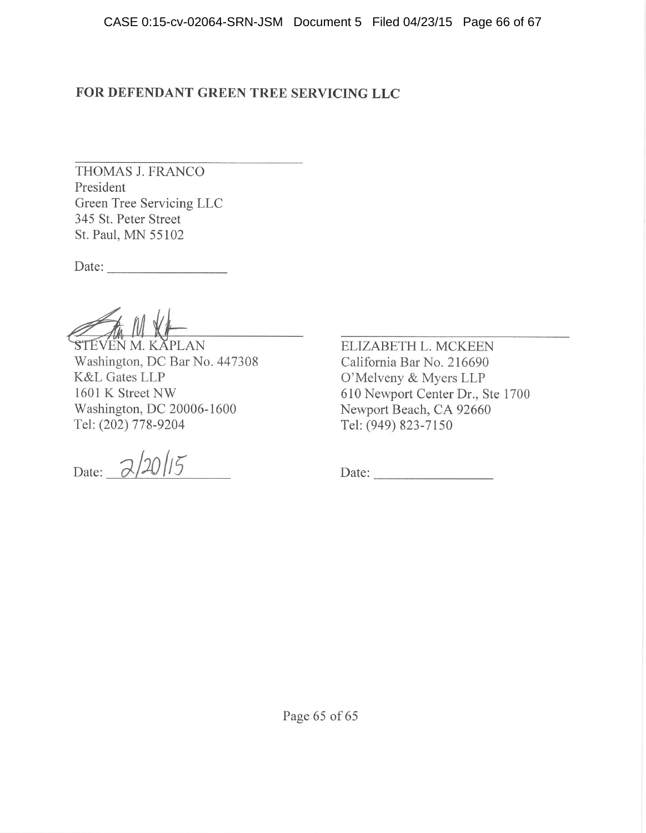# FOR DEFENDANT GREEN TREE SERVICING LLC

THOMAS J. FRANCO President Green Tree Servicing LLC 345 St. Peter Street St. Paul, MN 55102

Date:

STEVEN M. KĂPLAN Washington, DC Bar No. 447308 **K&L Gates LLP** 1601 K Street NW Washington, DC 20006-1600 Tel: (202) 778-9204

Date:  $\frac{2}{2015}$ 

ELIZABETH L. MCKEEN California Bar No. 216690 O'Melveny & Myers LLP 610 Newport Center Dr., Ste 1700 Newport Beach, CA 92660 Tel: (949) 823-7150

Date:

Page 65 of 65